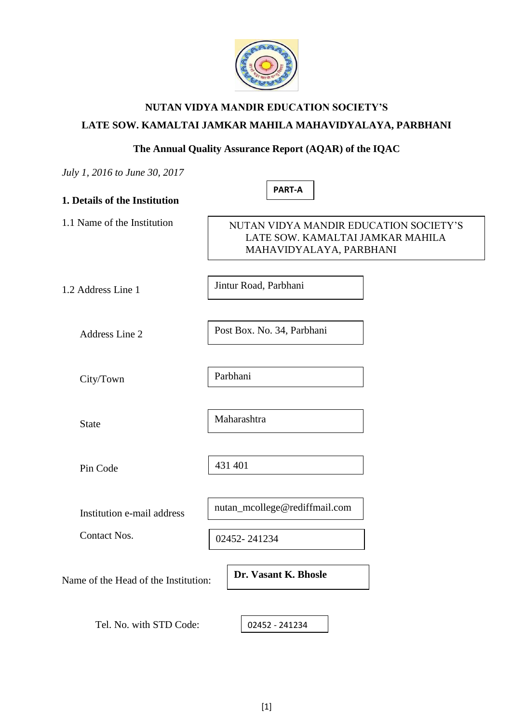

# **NUTAN VIDYA MANDIR EDUCATION SOCIETY'S LATE SOW. KAMALTAI JAMKAR MAHILA MAHAVIDYALAYA, PARBHANI**

## **The Annual Quality Assurance Report (AQAR) of the IQAC**

**PART-A**

|  | July 1, 2016 to June 30, 2017 |  |  |
|--|-------------------------------|--|--|
|  |                               |  |  |

|  |  |  |  | 1. Details of the Institution |
|--|--|--|--|-------------------------------|
|--|--|--|--|-------------------------------|

1.1 Name of the Institution

# NUTAN VIDYA MANDIR EDUCATION SOCIETY'S LATE SOW. KAMALTAI JAMKAR MAHILA MAHAVIDYALAYA, PARBHANI

1.2 Address Line 1

Address Line 2

Jintur Road, Parbhani

Post Box. No. 34, Parbhani

City/Town

Parbhani

State

Maharashtra

Pin Code

431 401

nutan\_mcollege@rediffmail.com

Contact Nos.

02452- 241234

Name of the Head of the Institution:

Institution e-mail address

**Dr. Vasant K. Bhosle**

Tel. No. with STD Code:

02452 - 241234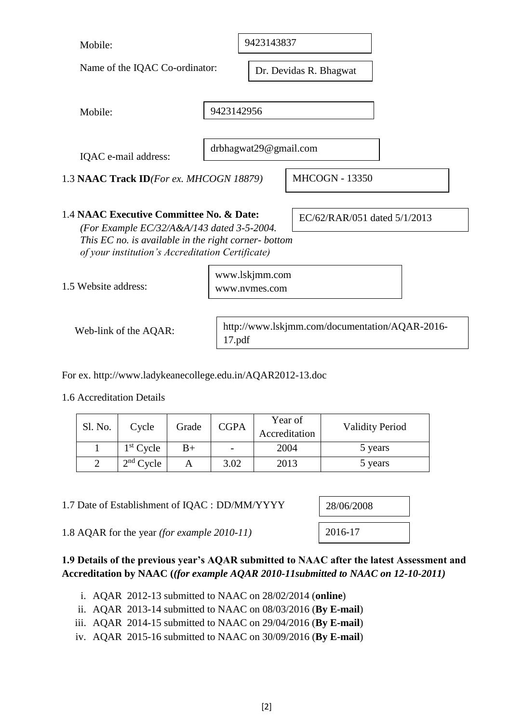| Mobile:                                                                                                                                                                                            |             | 9423143837                                     |                              |                        |  |  |
|----------------------------------------------------------------------------------------------------------------------------------------------------------------------------------------------------|-------------|------------------------------------------------|------------------------------|------------------------|--|--|
| Name of the IQAC Co-ordinator:                                                                                                                                                                     |             |                                                | Dr. Devidas R. Bhagwat       |                        |  |  |
| Mobile:                                                                                                                                                                                            |             | 9423142956                                     |                              |                        |  |  |
| IQAC e-mail address:                                                                                                                                                                               |             | drbhagwat29@gmail.com                          |                              |                        |  |  |
| 1.3 NAAC Track ID(For ex. MHCOGN 18879)                                                                                                                                                            |             |                                                | <b>MHCOGN - 13350</b>        |                        |  |  |
| 1.4 NAAC Executive Committee No. & Date:<br>(For Example EC/32/A&A/143 dated 3-5-2004.<br>This EC no. is available in the right corner- bottom<br>of your institution's Accreditation Certificate) |             |                                                | EC/62/RAR/051 dated 5/1/2013 |                        |  |  |
| 1.5 Website address:                                                                                                                                                                               |             | www.lskjmm.com<br>www.nymes.com                |                              |                        |  |  |
| Web-link of the AQAR:                                                                                                                                                                              | 17.pdf      | http://www.lskjmm.com/documentation/AQAR-2016- |                              |                        |  |  |
| For ex. http://www.ladykeanecollege.edu.in/AQAR2012-13.doc<br>1.6 Accreditation Details                                                                                                            |             |                                                |                              |                        |  |  |
| Sl. No.<br>Cycle<br>Grade                                                                                                                                                                          | <b>CGPA</b> | Year of<br>Accreditation                       |                              | <b>Validity Period</b> |  |  |
| $1st$ Cycle<br>$B+$<br>$\mathbf{1}$                                                                                                                                                                |             | 2004                                           |                              | 5 years                |  |  |
| $\overline{2}$<br>$2nd$ Cycle<br>A                                                                                                                                                                 | 3.02        | 2013                                           |                              | 5 years                |  |  |
| 1.7 Date of Establishment of IQAC : DD/MM/YYYY                                                                                                                                                     |             |                                                | 28/06/2008                   |                        |  |  |
| 1.8 AQAR for the year (for example 2010-11)                                                                                                                                                        |             |                                                | 2016-17                      |                        |  |  |
| 1.9 Details of the previous year's AQAR submitted to NAAC after the latest Assessment and<br>Accreditation by NAAC ((for example AQAR 2010-11 submitted to NAAC on 12-10-2011)                     |             |                                                |                              |                        |  |  |

9423143837

- i. AQAR 2012-13 submitted to NAAC on 28/02/2014 (**online**)
- ii. AQAR 2013-14 submitted to NAAC on 08/03/2016 (**By E-mail**)
- iii. AQAR 2014-15 submitted to NAAC on 29/04/2016 (**By E-mail**)
- iv. AQAR 2015-16 submitted to NAAC on 30/09/2016 (**By E-mail**)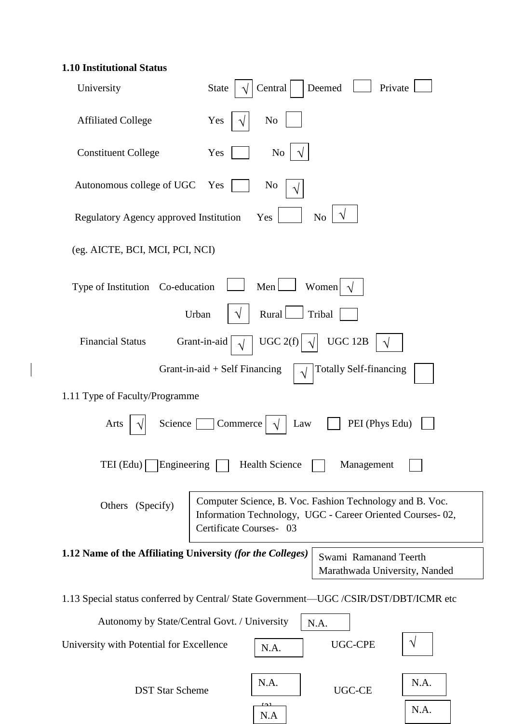# **1.10 Institutional Status**

| University                                                 | Deemed<br>Central<br>Private<br><b>State</b>                                                                                                     |
|------------------------------------------------------------|--------------------------------------------------------------------------------------------------------------------------------------------------|
| <b>Affiliated College</b>                                  | Yes<br>N <sub>0</sub>                                                                                                                            |
| <b>Constituent College</b>                                 | Yes<br>N <sub>0</sub>                                                                                                                            |
| Autonomous college of UGC                                  | N <sub>0</sub><br>Yes                                                                                                                            |
| Regulatory Agency approved Institution                     | N <sub>o</sub><br>Yes                                                                                                                            |
| (eg. AICTE, BCI, MCI, PCI, NCI)                            |                                                                                                                                                  |
| Type of Institution Co-education                           | $Men$ $\Box$<br>Women $\sqrt{}$                                                                                                                  |
|                                                            | Rural<br>Tribal<br>Urban<br>V                                                                                                                    |
| <b>Financial Status</b>                                    | UGC $2(f)$<br><b>UGC 12B</b><br>Grant-in-aid                                                                                                     |
|                                                            | <b>Totally Self-financing</b><br>Grant-in-aid $+$ Self Financing<br>$\sqrt{}$                                                                    |
| 1.11 Type of Faculty/Programme                             |                                                                                                                                                  |
| Science<br>Arts                                            | PEI (Phys Edu)<br>Commerce<br>Law                                                                                                                |
| $TEI$ (Edu) $\lceil$<br>Engineering                        | <b>Health Science</b><br>Management                                                                                                              |
| Others (Specify)                                           | Computer Science, B. Voc. Fashion Technology and B. Voc.<br>Information Technology, UGC - Career Oriented Courses-02,<br>Certificate Courses- 03 |
| 1.12 Name of the Affiliating University (for the Colleges) | Swami Ramanand Teerth<br>Marathwada University, Nanded                                                                                           |
|                                                            | 1.13 Special status conferred by Central/State Government—UGC /CSIR/DST/DBT/ICMR etc                                                             |
|                                                            | Autonomy by State/Central Govt. / University<br>N.A.                                                                                             |
| University with Potential for Excellence                   | <b>UGC-CPE</b><br>N.A.                                                                                                                           |
| <b>DST Star Scheme</b>                                     | N.A.<br>N.A.<br><b>UGC-CE</b>                                                                                                                    |

يم<br>.

N.A

N.A.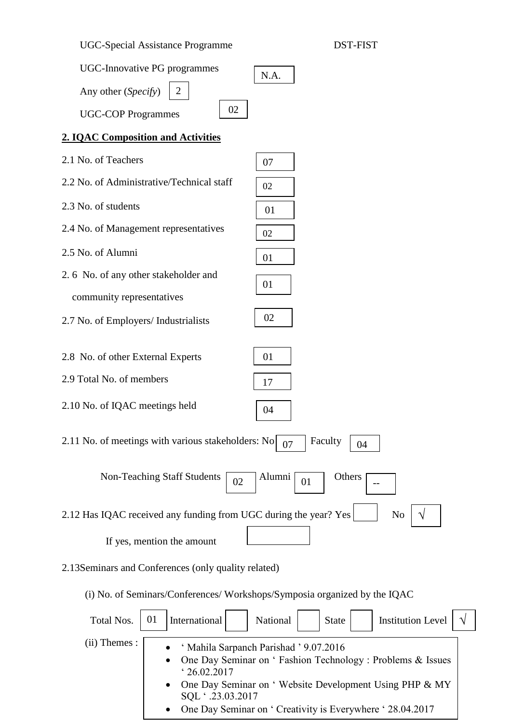UGC-Special Assistance Programme DST-FIST



# **2. IQAC Composition and Activities**

2.1 No. of Teachers 2.2 No. of Administrative/Technical staff 2.3 No. of students 2.4 No. of Management representatives 2.5 No. of Alumni 2. 6 No. of any other stakeholder and community representatives 2.7 No. of Employers/ Industrialists 2.8 No. of other External Experts 2.9 Total No. of members 2.10 No. of IQAC meetings held 2.11 No. of meetings with various stakeholders: No  $\boxed{07}$  Faculty Non-Teaching Staff Students  $\begin{array}{|c|c|c|}\n\hline\n02\n\end{array}$  Alumni  $\begin{array}{|c|c|c|}\n\hline\n01\n\end{array}$  Others 2.12 Has IQAC received any funding from UGC during the year?  $Yes$   $\vert$  No If yes, mention the amount 07 02 01 01 06 02 01 01 17 04 04  $02 \left[ \frac{\text{Atunim}}{01} \right] 01 \left[ \frac{\text{Outim}}{01} \right]$ √ 02 07

2.13Seminars and Conferences (only quality related)

(i) No. of Seminars/Conferences/ Workshops/Symposia organized by the IQAC

| Total Nos.      | 01<br><b>Institution Level</b><br>International<br>National<br>State                                                                                                                                                                                               |
|-----------------|--------------------------------------------------------------------------------------------------------------------------------------------------------------------------------------------------------------------------------------------------------------------|
| $(ii)$ Themes : | ' Mahila Sarpanch Parishad ' 9.07.2016<br>• One Day Seminar on 'Fashion Technology: Problems & Issues<br>'26.02.2017<br>• One Day Seminar on 'Website Development Using PHP & MY<br>SQL .23.03.2017<br>• One Day Seminar on 'Creativity is Everywhere ' 28.04.2017 |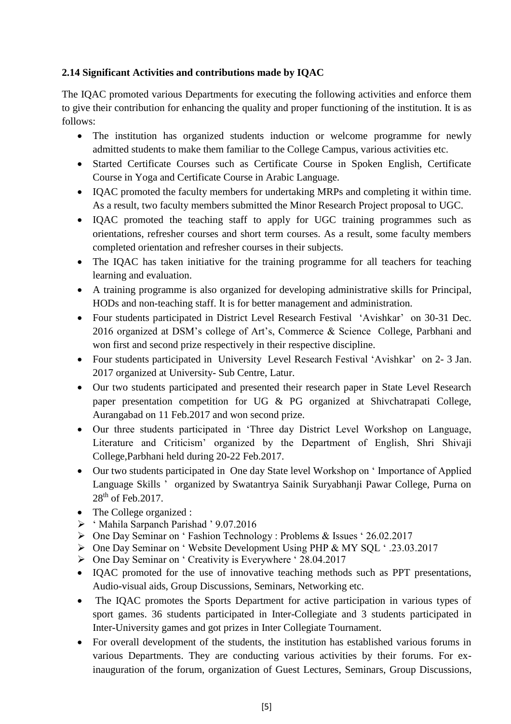# **2.14 Significant Activities and contributions made by IQAC**

The IQAC promoted various Departments for executing the following activities and enforce them to give their contribution for enhancing the quality and proper functioning of the institution. It is as follows:

- The institution has organized students induction or welcome programme for newly admitted students to make them familiar to the College Campus, various activities etc.
- Started Certificate Courses such as Certificate Course in Spoken English, Certificate Course in Yoga and Certificate Course in Arabic Language.
- IQAC promoted the faculty members for undertaking MRPs and completing it within time. As a result, two faculty members submitted the Minor Research Project proposal to UGC.
- IQAC promoted the teaching staff to apply for UGC training programmes such as orientations, refresher courses and short term courses. As a result, some faculty members completed orientation and refresher courses in their subjects.
- The IQAC has taken initiative for the training programme for all teachers for teaching learning and evaluation.
- A training programme is also organized for developing administrative skills for Principal, HODs and non-teaching staff. It is for better management and administration.
- Four students participated in District Level Research Festival 'Avishkar' on 30-31 Dec. 2016 organized at DSM's college of Art's, Commerce & Science College, Parbhani and won first and second prize respectively in their respective discipline.
- Four students participated in University Level Research Festival 'Avishkar' on 2- 3 Jan. 2017 organized at University- Sub Centre, Latur.
- Our two students participated and presented their research paper in State Level Research paper presentation competition for UG & PG organized at Shivchatrapati College, Aurangabad on 11 Feb.2017 and won second prize.
- Our three students participated in 'Three day District Level Workshop on Language, Literature and Criticism' organized by the Department of English, Shri Shivaji College,Parbhani held during 20-22 Feb.2017.
- Our two students participated in One day State level Workshop on 'Importance of Applied Language Skills ' organized by Swatantrya Sainik Suryabhanji Pawar College, Purna on 28<sup>th</sup> of Feb.2017.
- The College organized :
- ' Mahila Sarpanch Parishad ' 9.07.2016
- One Day Seminar on ' Fashion Technology : Problems & Issues ' 26.02.2017
- One Day Seminar on ' Website Development Using PHP & MY SQL ' .23.03.2017
- One Day Seminar on ' Creativity is Everywhere ' 28.04.2017
- IQAC promoted for the use of innovative teaching methods such as PPT presentations, Audio-visual aids, Group Discussions, Seminars, Networking etc.
- The IQAC promotes the Sports Department for active participation in various types of sport games. 36 students participated in Inter-Collegiate and 3 students participated in Inter-University games and got prizes in Inter Collegiate Tournament.
- For overall development of the students, the institution has established various forums in various Departments. They are conducting various activities by their forums. For exinauguration of the forum, organization of Guest Lectures, Seminars, Group Discussions,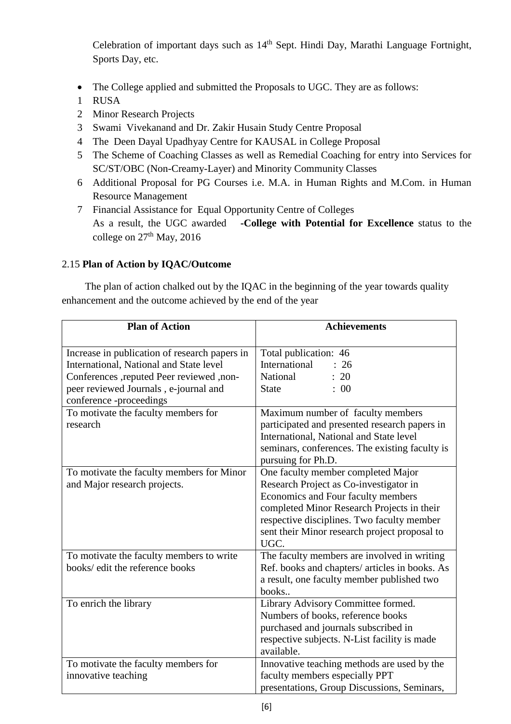Celebration of important days such as  $14<sup>th</sup>$  Sept. Hindi Day, Marathi Language Fortnight, Sports Day, etc.

- The College applied and submitted the Proposals to UGC. They are as follows:
- 1 RUSA
- 2 Minor Research Projects
- 3 Swami Vivekanand and Dr. Zakir Husain Study Centre Proposal
- 4 The Deen Dayal Upadhyay Centre for KAUSAL in College Proposal
- 5 The Scheme of Coaching Classes as well as Remedial Coaching for entry into Services for SC/ST/OBC (Non-Creamy-Layer) and Minority Community Classes
- 6 Additional Proposal for PG Courses i.e. M.A. in Human Rights and M.Com. in Human Resource Management
- 7 Financial Assistance for Equal Opportunity Centre of Colleges As a result, the UGC awarded **-College with Potential for Excellence** status to the college on  $27<sup>th</sup>$  May, 2016

# 2.15 **Plan of Action by IQAC/Outcome**

 The plan of action chalked out by the IQAC in the beginning of the year towards quality enhancement and the outcome achieved by the end of the year

| <b>Plan of Action</b>                         | <b>Achievements</b>                                        |
|-----------------------------------------------|------------------------------------------------------------|
| Increase in publication of research papers in | Total publication: 46                                      |
| International, National and State level       | International<br>26                                        |
| -conferences ,reputed Peer reviewed ,non-     | National<br>: 20                                           |
| peer reviewed Journals, e-journal and         | : 00<br><b>State</b>                                       |
| conference -proceedings                       |                                                            |
| To motivate the faculty members for           | Maximum number of faculty members                          |
| research                                      | participated and presented research papers in              |
|                                               | International, National and State level                    |
|                                               | seminars, conferences. The existing faculty is             |
|                                               | pursuing for Ph.D.                                         |
| To motivate the faculty members for Minor     | One faculty member completed Major                         |
| and Major research projects.                  | Research Project as Co-investigator in                     |
|                                               | Economics and Four faculty members                         |
|                                               | completed Minor Research Projects in their                 |
|                                               | respective disciplines. Two faculty member                 |
|                                               | sent their Minor research project proposal to              |
|                                               | UGC.                                                       |
| To motivate the faculty members to write      | The faculty members are involved in writing                |
| books/ edit the reference books               | Ref. books and chapters/ articles in books. As             |
|                                               | a result, one faculty member published two                 |
|                                               | books                                                      |
| To enrich the library                         | Library Advisory Committee formed.                         |
|                                               | Numbers of books, reference books                          |
|                                               | purchased and journals subscribed in                       |
|                                               | respective subjects. N-List facility is made<br>available. |
| To motivate the faculty members for           | Innovative teaching methods are used by the                |
| innovative teaching                           | faculty members especially PPT                             |
|                                               | presentations, Group Discussions, Seminars,                |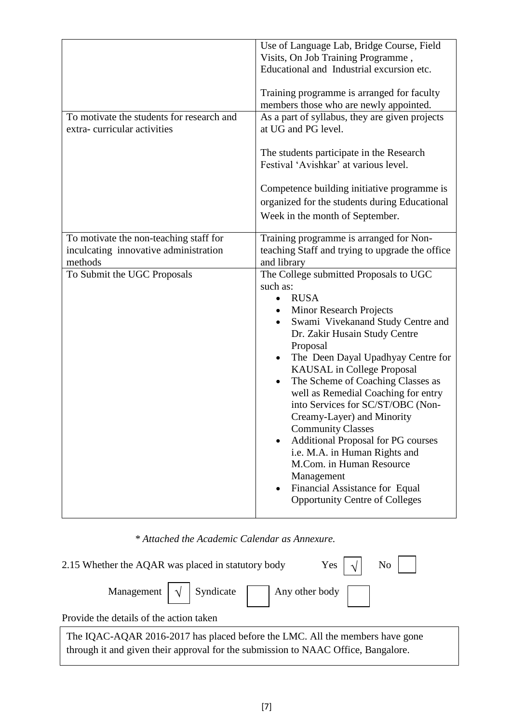|                                                                                            | Use of Language Lab, Bridge Course, Field<br>Visits, On Job Training Programme,<br>Educational and Industrial excursion etc.<br>Training programme is arranged for faculty<br>members those who are newly appointed.                                                                                                                                                                                                                                                                                                                                                                                                                                        |
|--------------------------------------------------------------------------------------------|-------------------------------------------------------------------------------------------------------------------------------------------------------------------------------------------------------------------------------------------------------------------------------------------------------------------------------------------------------------------------------------------------------------------------------------------------------------------------------------------------------------------------------------------------------------------------------------------------------------------------------------------------------------|
| To motivate the students for research and<br>extra-curricular activities                   | As a part of syllabus, they are given projects<br>at UG and PG level.<br>The students participate in the Research<br>Festival 'Avishkar' at various level.<br>Competence building initiative programme is<br>organized for the students during Educational<br>Week in the month of September.                                                                                                                                                                                                                                                                                                                                                               |
| To motivate the non-teaching staff for<br>inculcating innovative administration<br>methods | Training programme is arranged for Non-<br>teaching Staff and trying to upgrade the office<br>and library                                                                                                                                                                                                                                                                                                                                                                                                                                                                                                                                                   |
| To Submit the UGC Proposals                                                                | The College submitted Proposals to UGC<br>such as:<br><b>RUSA</b><br><b>Minor Research Projects</b><br>Swami Vivekanand Study Centre and<br>Dr. Zakir Husain Study Centre<br>Proposal<br>The Deen Dayal Upadhyay Centre for<br><b>KAUSAL</b> in College Proposal<br>The Scheme of Coaching Classes as<br>$\bullet$<br>well as Remedial Coaching for entry<br>into Services for SC/ST/OBC (Non-<br>Creamy-Layer) and Minority<br><b>Community Classes</b><br><b>Additional Proposal for PG courses</b><br>i.e. M.A. in Human Rights and<br>M.Com. in Human Resource<br>Management<br>Financial Assistance for Equal<br><b>Opportunity Centre of Colleges</b> |

# *\* Attached the Academic Calendar as Annexure.*

| Yes $\vert \sqrt{\vert}$ No $\vert$  <br>2.15 Whether the AQAR was placed in statutory body |
|---------------------------------------------------------------------------------------------|
| Management $\boxed{\sqrt{ }}$ Syndicate $\boxed{\ }$ Any other body $\boxed{\ }$            |
| Provide the details of the action taken                                                     |
| The IQAC-AQAR 2016-2017 has placed before the LMC. All the members have gone                |

through it and given their approval for the submission to NAAC Office, Bangalore.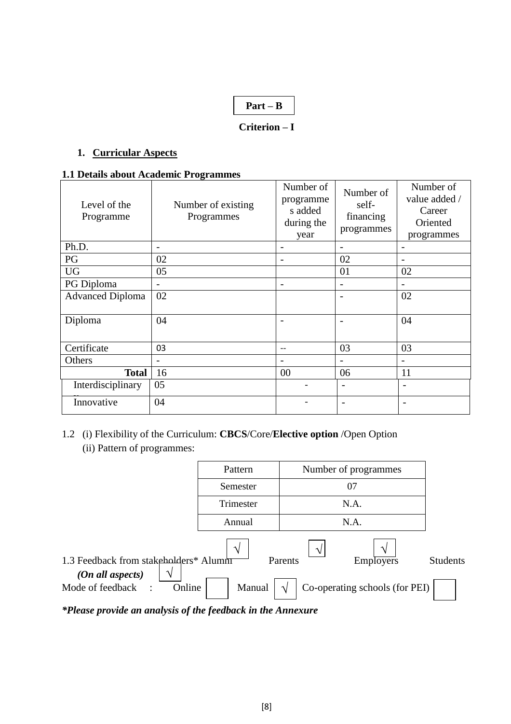# **Part – B**

# **Criterion – I**

#### **1. Curricular Aspects**

#### **1.1 Details about Academic Programmes**

| Level of the<br>Programme | Number of existing<br>Programmes | Number of<br>programme<br>s added<br>during the<br>year | Number of<br>self-<br>financing<br>programmes | Number of<br>value added /<br>Career<br>Oriented<br>programmes |
|---------------------------|----------------------------------|---------------------------------------------------------|-----------------------------------------------|----------------------------------------------------------------|
| Ph.D.                     |                                  | $\overline{\phantom{m}}$                                |                                               |                                                                |
| PG                        | 02                               | $\overline{\phantom{0}}$                                | 02                                            | $\overline{a}$                                                 |
| <b>UG</b>                 | 05                               |                                                         | 01                                            | 02                                                             |
| PG Diploma                |                                  | $\qquad \qquad -$                                       |                                               |                                                                |
| <b>Advanced Diploma</b>   | 02                               |                                                         |                                               | 02                                                             |
| Diploma                   | 04                               |                                                         |                                               | 04                                                             |
| Certificate               | 03                               | $-$                                                     | 03                                            | 03                                                             |
| Others                    |                                  |                                                         |                                               |                                                                |
| <b>Total</b>              | 16                               | 00                                                      | 06                                            | 11                                                             |
| Interdisciplinary         | 05                               |                                                         | $\overline{\phantom{0}}$                      | ÷                                                              |
| Innovative                | 04                               |                                                         | $\overline{\phantom{0}}$                      | ۰                                                              |

# 1.2 (i) Flexibility of the Curriculum: **CBCS**/Core/**Elective option** /Open Option (ii) Pattern of programmes:

|                                                                  | Pattern       | Number of programmes           |                 |
|------------------------------------------------------------------|---------------|--------------------------------|-----------------|
|                                                                  | Semester      | 07                             |                 |
|                                                                  | Trimester     | N.A.                           |                 |
|                                                                  | Annual        | N.A.                           |                 |
|                                                                  | $\mathcal{N}$ | ا^                             |                 |
| 1.3 Feedback from stakeholders* Alumni<br>(On all aspects)<br>٦Ι |               | <b>Employers</b><br>Parents    | <b>Students</b> |
| Mode of feedback<br>Online                                       | Manual        | Co-operating schools (for PEI) |                 |

*\*Please provide an analysis of the feedback in the Annexure*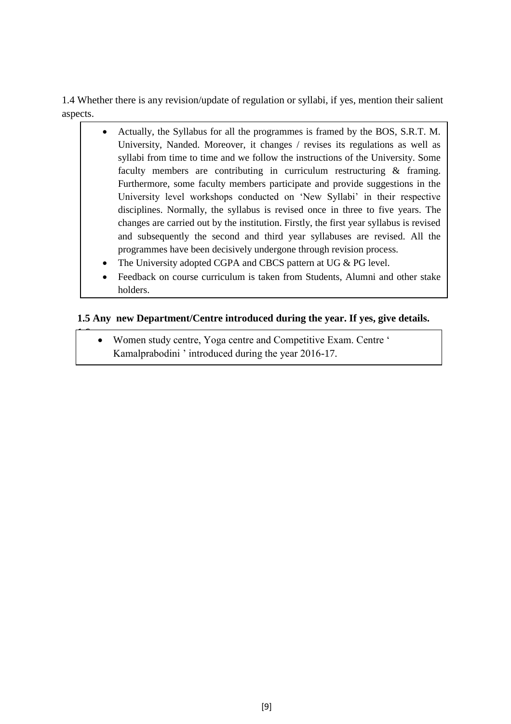1.4 Whether there is any revision/update of regulation or syllabi, if yes, mention their salient aspects.

- Actually, the Syllabus for all the programmes is framed by the BOS, S.R.T. M. University, Nanded. Moreover, it changes / revises its regulations as well as syllabi from time to time and we follow the instructions of the University. Some faculty members are contributing in curriculum restructuring & framing. Furthermore, some faculty members participate and provide suggestions in the University level workshops conducted on 'New Syllabi' in their respective disciplines. Normally, the syllabus is revised once in three to five years. The changes are carried out by the institution. Firstly, the first year syllabus is revised and subsequently the second and third year syllabuses are revised. All the programmes have been decisively undergone through revision process.
	- The University adopted CGPA and CBCS pattern at UG & PG level.
	- Feedback on course curriculum is taken from Students, Alumni and other stake holders.

#### **1.5 Any new Department/Centre introduced during the year. If yes, give details.**

 Women study centre, Yoga centre and Competitive Exam. Centre ' Kamalprabodini ' introduced during the year 2016-17.

**1.6**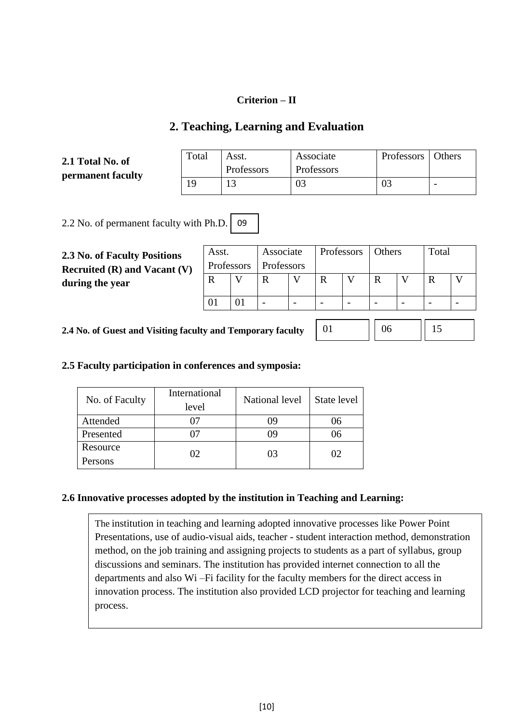#### **Criterion – II**

# **2. Teaching, Learning and Evaluation**

**2.1 Total No. of permanent faculty**

| Total | Asst.      | Associate  | Professors   Others |  |
|-------|------------|------------|---------------------|--|
|       | Professors | Professors |                     |  |
|       |            | 03         |                     |  |

2.2 No. of permanent faculty with Ph.D. 09

**2.3 No. of Faculty Positions Recruited (R) and Vacant (V) during the year**

| Asst.                   |  | Associate |  |   | Professors   Others |  | Total |  |
|-------------------------|--|-----------|--|---|---------------------|--|-------|--|
| Professors   Professors |  |           |  |   |                     |  |       |  |
|                         |  |           |  | R |                     |  |       |  |
|                         |  |           |  |   |                     |  |       |  |
|                         |  |           |  |   |                     |  |       |  |

**2.4 No. of Guest and Visiting faculty and Temporary faculty** 

01 || 06 || 15

#### **2.5 Faculty participation in conferences and symposia:**

| No. of Faculty | International<br>level | National level | State level |
|----------------|------------------------|----------------|-------------|
| Attended       |                        | 09             | 06          |
| Presented      |                        | 09             | 06          |
| Resource       | 02                     | 03             |             |
| Persons        |                        |                |             |

#### **2.6 Innovative processes adopted by the institution in Teaching and Learning:**

The institution in teaching and learning adopted innovative processes like Power Point Presentations, use of audio-visual aids, teacher - student interaction method, demonstration method, on the job training and assigning projects to students as a part of syllabus, group discussions and seminars. The institution has provided internet connection to all the departments and also Wi –Fi facility for the faculty members for the direct access in innovation process. The institution also provided LCD projector for teaching and learning process.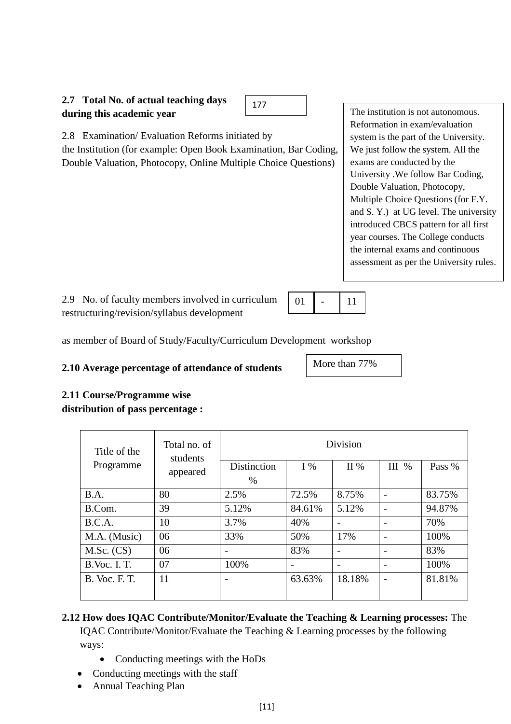

2.8 Examination/ Evaluation Reforms initiated by

the Institution (for example: Open Book Examination, Bar Coding, Double Valuation, Photocopy, Online Multiple Choice Questions)

The institution is not autonomous. Reformation in exam/evaluation system is the part of the University. We just follow the system. All the exams are conducted by the University .We follow Bar Coding, Double Valuation, Photocopy, Multiple Choice Questions (for F.Y. and S. Y.) at UG level. The university introduced CBCS pattern for all first year courses. The College conducts the internal exams and continuous assessment as per the University rules.

2.9 No. of faculty members involved in curriculum restructuring/revision/syllabus development

as member of Board of Study/Faculty/Curriculum Development workshop

# **2.10 Average percentage of attendance of students**

#### **2.11 Course/Programme wise distribution of pass percentage :**

| Title of the         | Total no. of<br>students | <b>Division</b>     |        |        |       |        |
|----------------------|--------------------------|---------------------|--------|--------|-------|--------|
| Programme            | appeared                 | Distinction<br>$\%$ | $I\%$  | II $%$ | III % | Pass % |
| B.A.                 | 80                       | 2.5%                | 72.5%  | 8.75%  |       | 83.75% |
| B.Com.               | 39                       | 5.12%               | 84.61% | 5.12%  |       | 94.87% |
| B.C.A.               | 10                       | 3.7%                | 40%    |        |       | 70%    |
| M.A. (Music)         | 06                       | 33%                 | 50%    | 17%    |       | 100%   |
| $M.Sc.$ (CS)         | 06                       |                     | 83%    |        |       | 83%    |
| <b>B.Voc. I. T.</b>  | 07                       | 100%                |        |        |       | 100%   |
| <b>B.</b> Voc. F. T. | 11                       |                     | 63.63% | 18.18% |       | 81.81% |

01

More than 77%

- 11

## **2.12 How does IQAC Contribute/Monitor/Evaluate the Teaching & Learning processes:** The IQAC Contribute/Monitor/Evaluate the Teaching & Learning processes by the following

ways:

- Conducting meetings with the HoDs
- Conducting meetings with the staff
- Annual Teaching Plan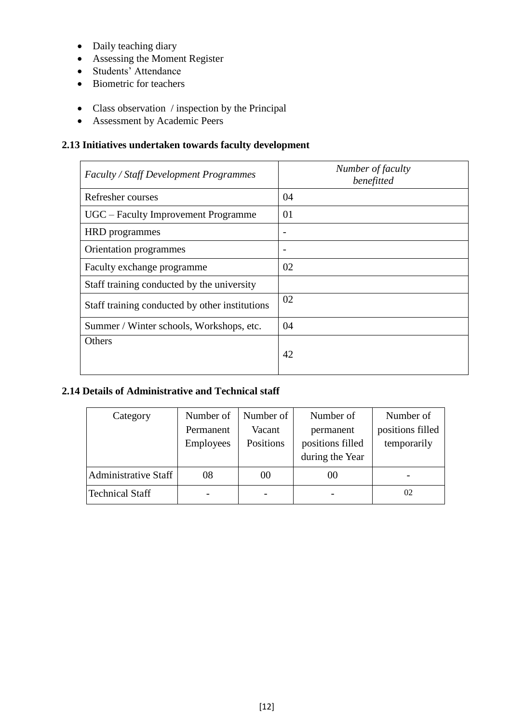- Daily teaching diary
- Assessing the Moment Register
- Students' Attendance
- Biometric for teachers
- Class observation / inspection by the Principal
- Assessment by Academic Peers

# **2.13 Initiatives undertaken towards faculty development**

| <b>Faculty / Staff Development Programmes</b>  | Number of faculty<br>benefitted |
|------------------------------------------------|---------------------------------|
| Refresher courses                              | 04                              |
| UGC - Faculty Improvement Programme            | 01                              |
| <b>HRD</b> programmes                          |                                 |
| Orientation programmes                         |                                 |
| Faculty exchange programme                     | 02                              |
| Staff training conducted by the university     |                                 |
| Staff training conducted by other institutions | 02                              |
| Summer / Winter schools, Workshops, etc.       | 04                              |
| Others                                         | 42                              |

# **2.14 Details of Administrative and Technical staff**

| Category                    | Number of | Number of | Number of        | Number of        |
|-----------------------------|-----------|-----------|------------------|------------------|
|                             | Permanent | Vacant    | permanent        | positions filled |
|                             | Employees | Positions | positions filled | temporarily      |
|                             |           |           | during the Year  |                  |
| <b>Administrative Staff</b> | 08        | 00        | 00               |                  |
| <b>Technical Staff</b>      |           |           |                  | 02               |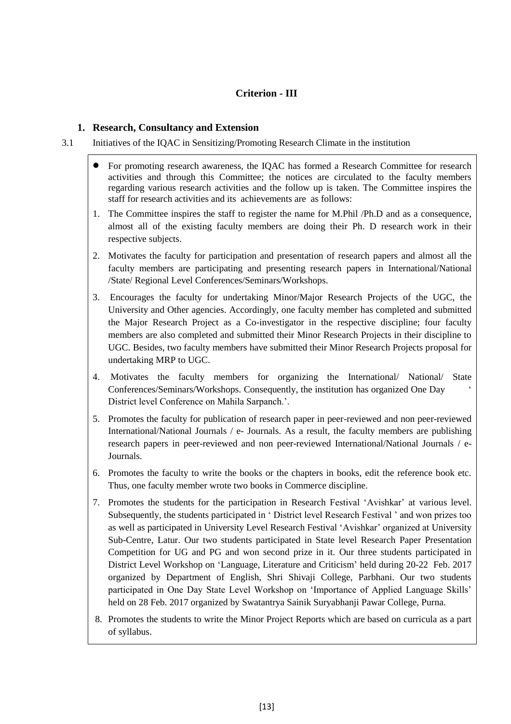# **Criterion - III**

#### **1. Research, Consultancy and Extension**

#### 3.1 Initiatives of the IQAC in Sensitizing/Promoting Research Climate in the institution

- For promoting research awareness, the IQAC has formed a Research Committee for research activities and through this Committee; the notices are circulated to the faculty members regarding various research activities and the follow up is taken. The Committee inspires the staff for research activities and its achievements are as follows:
- 1. The Committee inspires the staff to register the name for M.Phil /Ph.D and as a consequence, almost all of the existing faculty members are doing their Ph. D research work in their respective subjects.
- 2. Motivates the faculty for participation and presentation of research papers and almost all the faculty members are participating and presenting research papers in International/National /State/ Regional Level Conferences/Seminars/Workshops.
- 3. Encourages the faculty for undertaking Minor/Major Research Projects of the UGC, the University and Other agencies. Accordingly, one faculty member has completed and submitted the Major Research Project as a Co-investigator in the respective discipline; four faculty members are also completed and submitted their Minor Research Projects in their discipline to UGC. Besides, two faculty members have submitted their Minor Research Projects proposal for undertaking MRP to UGC.
- 4. Motivates the faculty members for organizing the International/ National/ State Conferences/Seminars/Workshops. Consequently, the institution has organized One Day ' District level Conference on Mahila Sarpanch.'.
- 5. Promotes the faculty for publication of research paper in peer-reviewed and non peer-reviewed International/National Journals / e- Journals. As a result, the faculty members are publishing research papers in peer-reviewed and non peer-reviewed International/National Journals / e-Journals.
- 6. Promotes the faculty to write the books or the chapters in books, edit the reference book etc. Thus, one faculty member wrote two books in Commerce discipline.
- 7. Promotes the students for the participation in Research Festival 'Avishkar' at various level. Subsequently, the students participated in ' District level Research Festival ' and won prizes too as well as participated in University Level Research Festival 'Avishkar' organized at University Sub-Centre, Latur. Our two students participated in State level Research Paper Presentation Competition for UG and PG and won second prize in it. Our three students participated in District Level Workshop on 'Language, Literature and Criticism' held during 20-22 Feb. 2017 organized by Department of English, Shri Shivaji College, Parbhani. Our two students participated in One Day State Level Workshop on 'Importance of Applied Language Skills' held on 28 Feb. 2017 organized by Swatantrya Sainik Suryabhanji Pawar College, Purna.
- 8. Promotes the students to write the Minor Project Reports which are based on curricula as a part of syllabus.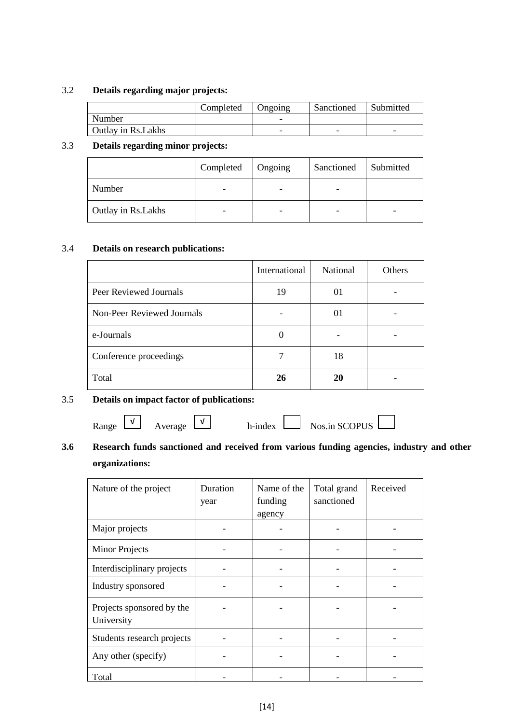#### 3.2 **Details regarding major projects:**

|                     | Completed | Ongoing                  | Sanctioned | Submitted                |
|---------------------|-----------|--------------------------|------------|--------------------------|
| Number              |           | $\overline{\phantom{0}}$ |            |                          |
| Outlay in Rs. Lakhs |           | -                        | -          | $\overline{\phantom{0}}$ |

#### 3.3 **Details regarding minor projects:**

|                     | Completed                | Ongoing                  | Sanctioned | Submitted |
|---------------------|--------------------------|--------------------------|------------|-----------|
| Number              | -                        | $\overline{\phantom{0}}$ | -          |           |
| Outlay in Rs. Lakhs | $\overline{\phantom{0}}$ | -                        | -          | -         |

#### 3.4 **Details on research publications:**

|                            | International | National | Others |
|----------------------------|---------------|----------|--------|
| Peer Reviewed Journals     | 19            | 01       |        |
| Non-Peer Reviewed Journals |               | 01       |        |
| e-Journals                 | $\Omega$      |          |        |
| Conference proceedings     |               | 18       |        |
| Total                      | 26            | 20       |        |

#### 3.5 **Details on impact factor of publications:**

Range  $\boxed{\vee}$  Average  $\boxed{\vee}$  h-index  $\boxed{\phantom{\times}}$  Nos.in SCOPUS  $\boxed{\phantom{\times}}$ Average



# **3.6 Research funds sanctioned and received from various funding agencies, industry and other organizations:**

| Nature of the project                   | Duration<br>year | Name of the<br>funding<br>agency | Total grand<br>sanctioned | Received |
|-----------------------------------------|------------------|----------------------------------|---------------------------|----------|
| Major projects                          |                  |                                  |                           |          |
| <b>Minor Projects</b>                   |                  |                                  |                           |          |
| Interdisciplinary projects              |                  |                                  |                           |          |
| Industry sponsored                      |                  |                                  |                           |          |
| Projects sponsored by the<br>University |                  |                                  |                           |          |
| Students research projects              |                  |                                  |                           |          |
| Any other (specify)                     |                  |                                  |                           |          |
| Total                                   |                  |                                  |                           |          |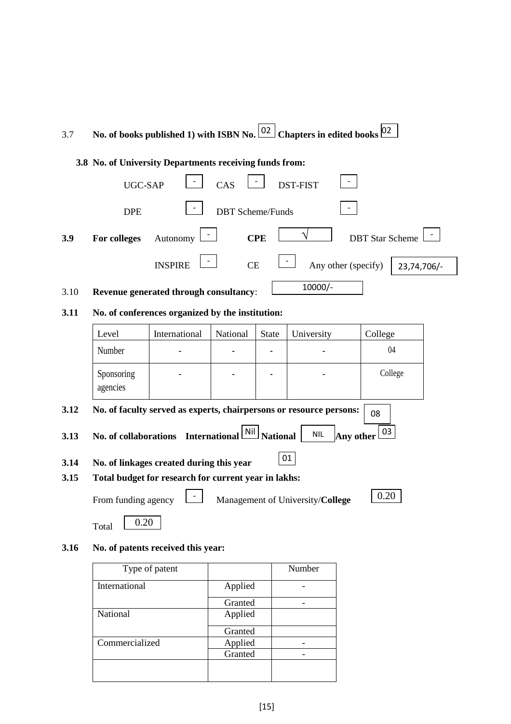| 3.7  |                                                         |                                                      |                         |                 | No. of books published 1) with ISBN No. $\left[\frac{02}{2}\right]$ Chapters in edited books $\left[\frac{02}{2}\right]$ |                        |  |  |
|------|---------------------------------------------------------|------------------------------------------------------|-------------------------|-----------------|--------------------------------------------------------------------------------------------------------------------------|------------------------|--|--|
|      | 3.8 No. of University Departments receiving funds from: |                                                      |                         |                 |                                                                                                                          |                        |  |  |
|      | UGC-SAP                                                 |                                                      | CAS                     |                 | DST-FIST                                                                                                                 |                        |  |  |
|      | <b>DPE</b>                                              |                                                      | <b>DBT</b> Scheme/Funds |                 |                                                                                                                          |                        |  |  |
| 3.9  | For colleges                                            | Autonomy                                             |                         | <b>CPE</b>      |                                                                                                                          | <b>DBT</b> Star Scheme |  |  |
|      |                                                         | <b>INSPIRE</b>                                       | CE                      |                 | Any other (specify)                                                                                                      | 23,74,706/-            |  |  |
| 3.10 |                                                         | Revenue generated through consultancy:               |                         |                 | 10000/-                                                                                                                  |                        |  |  |
| 3.11 |                                                         | No. of conferences organized by the institution:     |                         |                 |                                                                                                                          |                        |  |  |
|      | Level                                                   | International                                        | National                | <b>State</b>    | University                                                                                                               | College                |  |  |
|      | Number                                                  |                                                      |                         |                 |                                                                                                                          | 04                     |  |  |
|      | Sponsoring<br>agencies                                  |                                                      |                         |                 |                                                                                                                          | College                |  |  |
| 3.12 |                                                         |                                                      |                         |                 | No. of faculty served as experts, chairpersons or resource persons:                                                      | 08                     |  |  |
| 3.13 |                                                         | No. of collaborations International Nil              |                         | <b>National</b> | <b>NIL</b><br>Any other                                                                                                  | 03                     |  |  |
| 3.14 |                                                         | No. of linkages created during this year             |                         |                 | 01                                                                                                                       |                        |  |  |
| 3.15 |                                                         | Total budget for research for current year in lakhs: |                         |                 |                                                                                                                          |                        |  |  |
|      | From funding agency                                     |                                                      |                         |                 | Management of University/College                                                                                         | 0.20                   |  |  |
|      | 0.20<br>Total                                           |                                                      |                         |                 |                                                                                                                          |                        |  |  |
| 3.16 |                                                         | No. of patents received this year:                   |                         |                 |                                                                                                                          |                        |  |  |
|      | Tyne of patent<br>Numhar                                |                                                      |                         |                 |                                                                                                                          |                        |  |  |

| Type of patent |         | Number |
|----------------|---------|--------|
| International  | Applied |        |
|                | Granted |        |
| National       | Applied |        |
|                | Granted |        |
| Commercialized | Applied |        |
|                | Granted |        |
|                |         |        |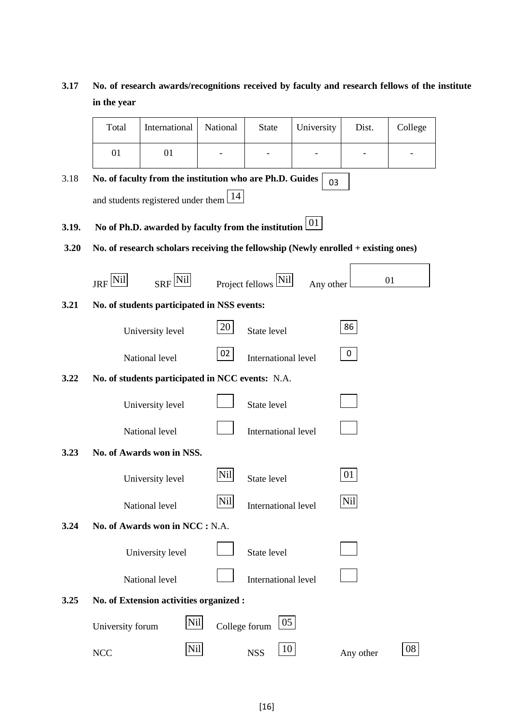# **3.17 No. of research awards/recognitions received by faculty and research fellows of the institute in the year**

 $\blacksquare$ 

|       | Total                                                   | International                                                                      | National        | <b>State</b>        | University | Dist.     | College |  |  |
|-------|---------------------------------------------------------|------------------------------------------------------------------------------------|-----------------|---------------------|------------|-----------|---------|--|--|
|       | 01                                                      | 01                                                                                 |                 |                     |            |           |         |  |  |
| 3.18  |                                                         | No. of faculty from the institution who are Ph.D. Guides                           |                 |                     | 03         |           |         |  |  |
|       | and students registered under them $\lfloor 14 \rfloor$ |                                                                                    |                 |                     |            |           |         |  |  |
| 3.19. |                                                         | No of Ph.D. awarded by faculty from the institution $\boxed{01}$                   |                 |                     |            |           |         |  |  |
| 3.20  |                                                         | No. of research scholars receiving the fellowship (Newly enrolled + existing ones) |                 |                     |            |           |         |  |  |
|       | JRF <sup>[Nil</sup> ]                                   | $SRF$ <sup>[Nil]</sup>                                                             |                 | Project fellows Nil | Any other  |           | 01      |  |  |
| 3.21  |                                                         | No. of students participated in NSS events:                                        |                 |                     |            |           |         |  |  |
|       |                                                         | University level                                                                   | 20              | State level         |            | 86        |         |  |  |
|       |                                                         | National level                                                                     | 02 <sub>2</sub> | International level |            | 0         |         |  |  |
| 3.22  |                                                         | No. of students participated in NCC events: N.A.                                   |                 |                     |            |           |         |  |  |
|       |                                                         | University level                                                                   |                 | State level         |            |           |         |  |  |
|       |                                                         | National level                                                                     |                 | International level |            |           |         |  |  |
| 3.23  |                                                         | No. of Awards won in NSS.                                                          |                 |                     |            |           |         |  |  |
|       |                                                         | University level                                                                   | Nil             | State level         |            | 01        |         |  |  |
|       |                                                         | National level                                                                     | Nil             | International level |            | Nil       |         |  |  |
| 3.24  |                                                         | No. of Awards won in NCC : N.A.                                                    |                 |                     |            |           |         |  |  |
|       |                                                         | University level                                                                   |                 | State level         |            |           |         |  |  |
|       |                                                         | National level                                                                     |                 | International level |            |           |         |  |  |
| 3.25  |                                                         | No. of Extension activities organized :                                            |                 |                     |            |           |         |  |  |
|       | University forum                                        | Nil                                                                                | College forum   | 05 <sub>l</sub>     |            |           |         |  |  |
|       | <b>NCC</b>                                              | Nil                                                                                |                 | 10<br><b>NSS</b>    |            | Any other | 08      |  |  |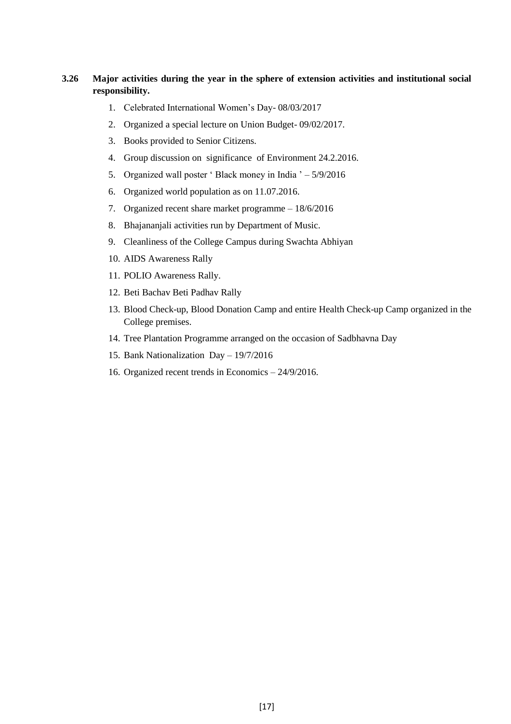#### **3.26 Major activities during the year in the sphere of extension activities and institutional social responsibility.**

- 1. Celebrated International Women's Day- 08/03/2017
- 2. Organized a special lecture on Union Budget- 09/02/2017.
- 3. Books provided to Senior Citizens.
- 4. Group discussion on significance of Environment 24.2.2016.
- 5. Organized wall poster ' Black money in India ' 5/9/2016
- 6. Organized world population as on 11.07.2016.
- 7. Organized recent share market programme 18/6/2016
- 8. Bhajananjali activities run by Department of Music.
- 9. Cleanliness of the College Campus during Swachta Abhiyan
- 10. AIDS Awareness Rally
- 11. POLIO Awareness Rally.
- 12. Beti Bachav Beti Padhav Rally
- 13. Blood Check-up, Blood Donation Camp and entire Health Check-up Camp organized in the College premises.
- 14. Tree Plantation Programme arranged on the occasion of Sadbhavna Day
- 15. Bank Nationalization Day 19/7/2016
- 16. Organized recent trends in Economics 24/9/2016.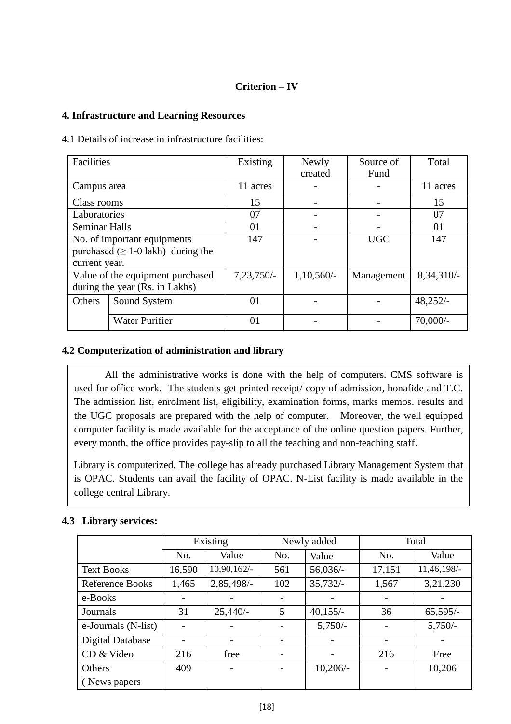# **Criterion – IV**

#### **4. Infrastructure and Learning Resources**

4.1 Details of increase in infrastructure facilities:

| Facilities                     |                                          | Existing     | Newly        | Source of  | Total      |
|--------------------------------|------------------------------------------|--------------|--------------|------------|------------|
|                                |                                          |              | created      | Fund       |            |
| Campus area                    |                                          | 11 acres     |              |            | 11 acres   |
| Class rooms                    |                                          | 15           |              |            | 15         |
| Laboratories                   |                                          | 07           |              |            | 07         |
| <b>Seminar Halls</b>           |                                          | 01           |              |            | 01         |
| No. of important equipments    |                                          | 147          |              | <b>UGC</b> | 147        |
|                                | purchased $( \geq 1$ -0 lakh) during the |              |              |            |            |
| current year.                  |                                          |              |              |            |            |
|                                | Value of the equipment purchased         | $7,23,750/-$ | $1,10,560/-$ | Management | 8,34,310/- |
| during the year (Rs. in Lakhs) |                                          |              |              |            |            |
| <b>Others</b>                  | Sound System                             | 01           |              |            | $48,252/-$ |
|                                |                                          |              |              |            |            |
|                                | <b>Water Purifier</b>                    | 01           |              |            | $70,000/-$ |

#### **4.2 Computerization of administration and library**

All the administrative works is done with the help of computers. CMS software is used for office work. The students get printed receipt/ copy of admission, bonafide and T.C. The admission list, enrolment list, eligibility, examination forms, marks memos. results and the UGC proposals are prepared with the help of computer. Moreover, the well equipped computer facility is made available for the acceptance of the online question papers. Further, every month, the office provides pay-slip to all the teaching and non-teaching staff.

Library is computerized. The college has already purchased Library Management System that is OPAC. Students can avail the facility of OPAC. N-List facility is made available in the college central Library.

#### **4.3 Library services:**

|                         | Existing |            |     | Newly added | Total                    |             |  |
|-------------------------|----------|------------|-----|-------------|--------------------------|-------------|--|
|                         | No.      | Value      | No. | Value       | No.                      | Value       |  |
| <b>Text Books</b>       | 16,590   | 10,90,162/ | 561 | $56,036/-$  | 17,151                   | 11,46,198/- |  |
| <b>Reference Books</b>  | 1,465    | 2,85,498/- | 102 | $35,732/-$  | 1,567                    | 3,21,230    |  |
| e-Books                 |          |            |     |             | $\overline{\phantom{a}}$ |             |  |
| Journals                | 31       | $25,440/-$ | 5   | $40,155/-$  | 36                       | $65,595/-$  |  |
| e-Journals (N-list)     |          |            |     | $5,750/-$   | $\qquad \qquad$          | $5,750/-$   |  |
| <b>Digital Database</b> |          |            |     |             |                          |             |  |
| CD & Video              | 216      | free       |     |             | 216                      | Free        |  |
| <b>Others</b>           | 409      |            |     | $10,206/-$  |                          | 10,206      |  |
| (News papers)           |          |            |     |             |                          |             |  |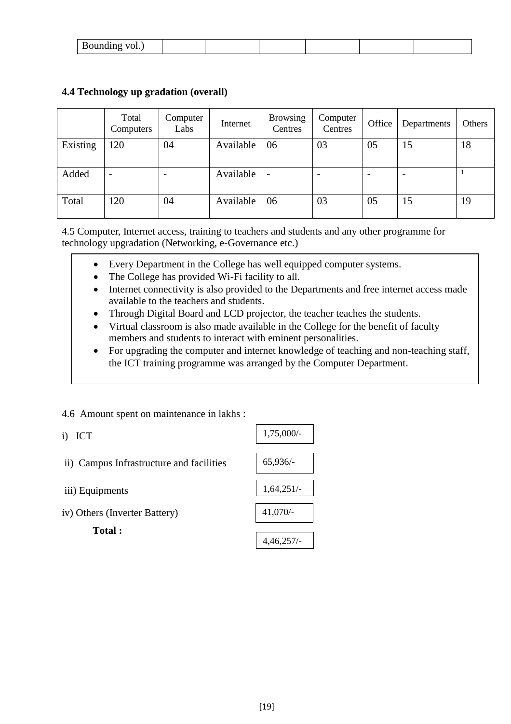| $\sim$ $\sim$ $\sim$ $\sim$<br>$\ddotsc$ |  |  |  |
|------------------------------------------|--|--|--|
|                                          |  |  |  |

|          | Total<br>Computers       | Computer<br>Labs         | Internet  | <b>Browsing</b><br>Centres | Computer<br>Centres | Office | Departments | Others |
|----------|--------------------------|--------------------------|-----------|----------------------------|---------------------|--------|-------------|--------|
| Existing | 120                      | 04                       | Available | 06                         | 03                  | 05     | 15          | 18     |
| Added    | $\overline{\phantom{0}}$ | $\overline{\phantom{0}}$ | Available | $\overline{\phantom{a}}$   |                     |        |             |        |
| Total    | 120                      | 04                       | Available | 06                         | 03                  | 05     | 15          | 19     |

## **4.4 Technology up gradation (overall)**

4.5 Computer, Internet access, training to teachers and students and any other programme for technology upgradation (Networking, e-Governance etc.)

- Every Department in the College has well equipped computer systems.
- The College has provided Wi-Fi facility to all.
- Internet connectivity is also provided to the Departments and free internet access made available to the teachers and students.
- Through Digital Board and LCD projector, the teacher teaches the students.
- Virtual classroom is also made available in the College for the benefit of faculty members and students to interact with eminent personalities.
- For upgrading the computer and internet knowledge of teaching and non-teaching staff, the ICT training programme was arranged by the Computer Department.

#### 4.6 Amount spent on maintenance in lakhs :

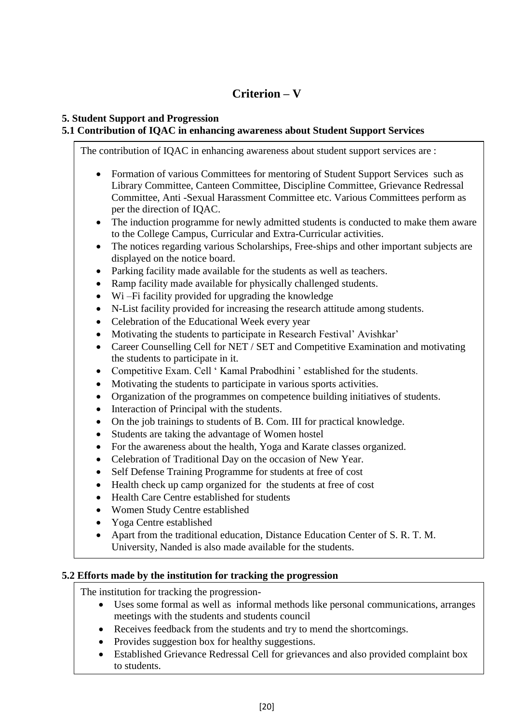# **Criterion – V**

## **5. Student Support and Progression**

# **5.1 Contribution of IQAC in enhancing awareness about Student Support Services**

The contribution of IQAC in enhancing awareness about student support services are :

- Formation of various Committees for mentoring of Student Support Services such as Library Committee, Canteen Committee, Discipline Committee, Grievance Redressal Committee, Anti -Sexual Harassment Committee etc. Various Committees perform as per the direction of IQAC.
- The induction programme for newly admitted students is conducted to make them aware to the College Campus, Curricular and Extra-Curricular activities.
- The notices regarding various Scholarships, Free-ships and other important subjects are displayed on the notice board.
- Parking facility made available for the students as well as teachers.
- Ramp facility made available for physically challenged students.
- Wi –Fi facility provided for upgrading the knowledge
- N-List facility provided for increasing the research attitude among students.
- Celebration of the Educational Week every year
- Motivating the students to participate in Research Festival' Avishkar'
- Career Counselling Cell for NET / SET and Competitive Examination and motivating the students to participate in it.
- Competitive Exam. Cell ' Kamal Prabodhini ' established for the students.
- Motivating the students to participate in various sports activities.
- Organization of the programmes on competence building initiatives of students.
- Interaction of Principal with the students.
- On the job trainings to students of B. Com. III for practical knowledge.
- Students are taking the advantage of Women hostel
- For the awareness about the health, Yoga and Karate classes organized.
- Celebration of Traditional Day on the occasion of New Year.
- Self Defense Training Programme for students at free of cost
- Health check up camp organized for the students at free of cost
- Health Care Centre established for students
- Women Study Centre established
- Yoga Centre established
- Apart from the traditional education, Distance Education Center of S. R. T. M. University, Nanded is also made available for the students.

#### **5.2 Efforts made by the institution for tracking the progression**

The institution for tracking the progression-

- Uses some formal as well as informal methods like personal communications, arranges meetings with the students and students council
- Receives feedback from the students and try to mend the shortcomings.
- Provides suggestion box for healthy suggestions.
- Established Grievance Redressal Cell for grievances and also provided complaint box to students.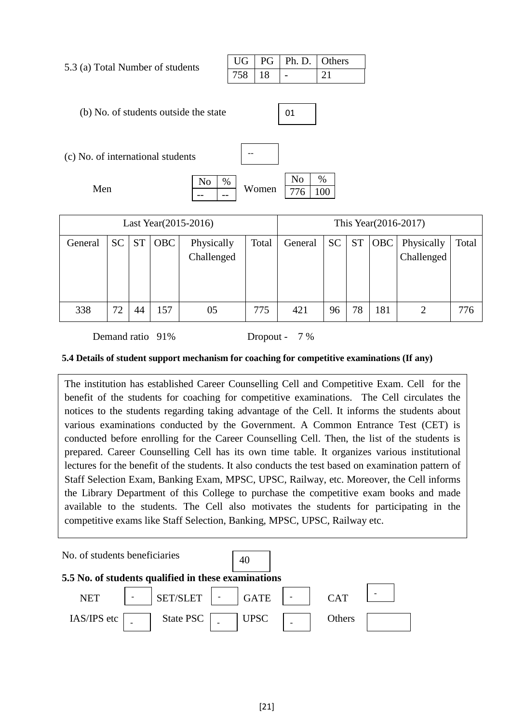5.3 (a) Total Number of students

|  | UG   PG   Ph.D.   Others |  |
|--|--------------------------|--|
|  |                          |  |

(b) No. of students outside the state

| o |
|---|
|   |

| (c) No. of international students |   |       |  |
|-----------------------------------|---|-------|--|
|                                   | % |       |  |
| Men                               |   | Women |  |
|                                   |   |       |  |

| Last Year (2015-2016) |           |           |            |                          | This Year(2016-2017) |         |           |           |     |                          |       |
|-----------------------|-----------|-----------|------------|--------------------------|----------------------|---------|-----------|-----------|-----|--------------------------|-------|
| General               | <b>SC</b> | <b>ST</b> | <b>OBC</b> | Physically<br>Challenged | Total                | General | <b>SC</b> | <b>ST</b> | OBC | Physically<br>Challenged | Total |
| 338                   | 72        | 44        | 157        | 05                       | 775                  | 421     | 96        | 78        | 181 |                          | 776   |

Demand ratio 91% Dropout - 7 %

#### **5.4 Details of student support mechanism for coaching for competitive examinations (If any)**

The institution has established Career Counselling Cell and Competitive Exam. Cell for the benefit of the students for coaching for competitive examinations. The Cell circulates the notices to the students regarding taking advantage of the Cell. It informs the students about various examinations conducted by the Government. A Common Entrance Test (CET) is conducted before enrolling for the Career Counselling Cell. Then, the list of the students is prepared. Career Counselling Cell has its own time table. It organizes various institutional lectures for the benefit of the students. It also conducts the test based on examination pattern of Staff Selection Exam, Banking Exam, MPSC, UPSC, Railway, etc. Moreover, the Cell informs the Library Department of this College to purchase the competitive exam books and made available to the students. The Cell also motivates the students for participating in the competitive exams like Staff Selection, Banking, MPSC, UPSC, Railway etc.

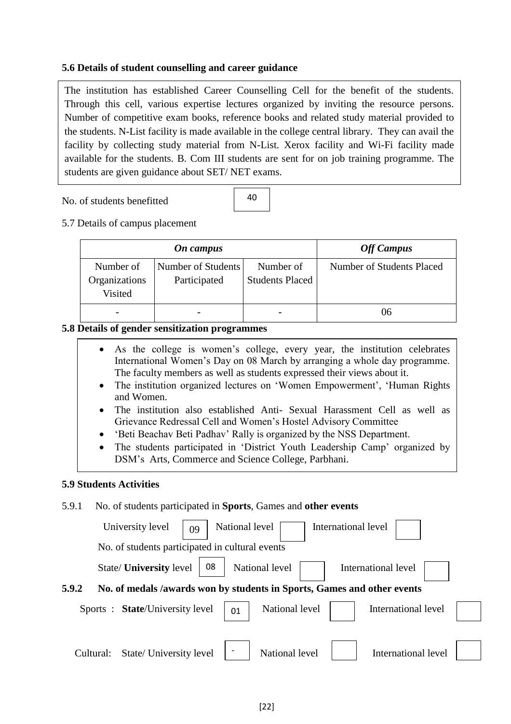#### **5.6 Details of student counselling and career guidance**

The institution has established Career Counselling Cell for the benefit of the students. Through this cell, various expertise lectures organized by inviting the resource persons. Number of competitive exam books, reference books and related study material provided to the students. N-List facility is made available in the college central library. They can avail the facility by collecting study material from N-List. Xerox facility and Wi-Fi facility made available for the students. B. Com III students are sent for on job training programme. The students are given guidance about SET/ NET exams.

No. of students benefitted

40

5.7 Details of campus placement

|                                       | On campus                          | <b>Off Campus</b>                   |                           |
|---------------------------------------|------------------------------------|-------------------------------------|---------------------------|
| Number of<br>Organizations<br>Visited | Number of Students<br>Participated | Number of<br><b>Students Placed</b> | Number of Students Placed |
|                                       |                                    |                                     | ()6                       |

#### **5.8 Details of gender sensitization programmes**

- As the college is women's college, every year, the institution celebrates International Women's Day on 08 March by arranging a whole day programme. The faculty members as well as students expressed their views about it.
- The institution organized lectures on 'Women Empowerment', 'Human Rights and Women.
- The institution also established Anti- Sexual Harassment Cell as well as Grievance Redressal Cell and Women's Hostel Advisory Committee
- 'Beti Beachav Beti Padhav' Rally is organized by the NSS Department.
- The students participated in 'District Youth Leadership Camp' organized by DSM's Arts, Commerce and Science College, Parbhani.

#### **5.9 Students Activities**

#### 5.9.1 No. of students participated in **Sports**, Games and **other events**

| International level<br>University level<br>National level<br>09                  |  |
|----------------------------------------------------------------------------------|--|
| No. of students participated in cultural events                                  |  |
| 08<br>National level<br>State/ <b>University</b> level<br>International level    |  |
| 5.9.2<br>No. of medals /awards won by students in Sports, Games and other events |  |
| National level<br>Sports: State/University level<br>International level<br>01    |  |
|                                                                                  |  |
| State/ University level<br>National level<br>International level<br>Cultural:    |  |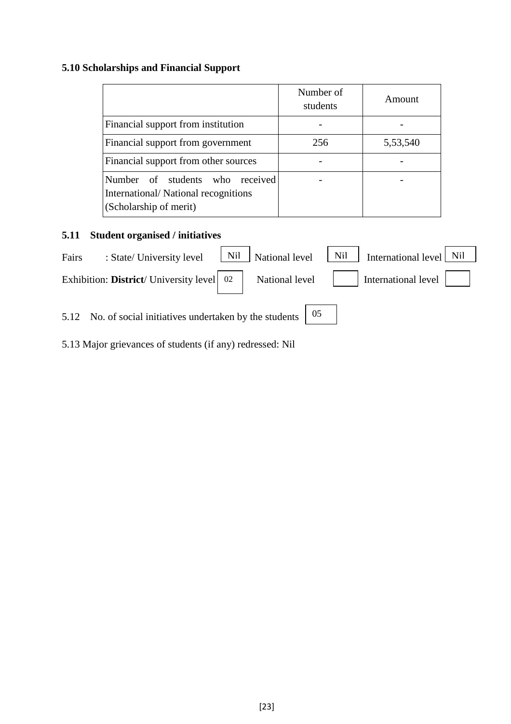# **5.10 Scholarships and Financial Support**

|                                                                                                  | Number of<br>students | Amount   |
|--------------------------------------------------------------------------------------------------|-----------------------|----------|
| Financial support from institution                                                               |                       |          |
| Financial support from government                                                                | 256                   | 5,53,540 |
| Financial support from other sources                                                             |                       |          |
| Number of students who received<br>International/National recognitions<br>(Scholarship of merit) |                       |          |

# **5.11 Student organised / initiatives**

| Fairs | : State/ University level                                 | Nil | National level | Nil | International level $Nil$ |  |
|-------|-----------------------------------------------------------|-----|----------------|-----|---------------------------|--|
|       | Exhibition: District/University level 02                  |     | National level |     | International level       |  |
|       | 5.12 No. of social initiatives undertaken by the students |     |                | 05  |                           |  |

5.13 Major grievances of students (if any) redressed: Nil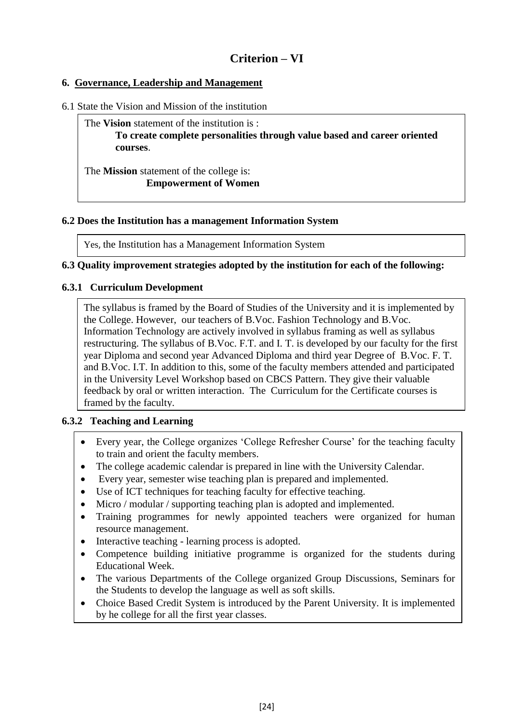# **Criterion – VI**

# **6. Governance, Leadership and Management**

6.1 State the Vision and Mission of the institution

The **Vision** statement of the institution is : **To create complete personalities through value based and career oriented courses**.

The **Mission** statement of the college is: **Empowerment of Women**

#### **6.2 Does the Institution has a management Information System**

Yes, the Institution has a Management Information System

#### **6.3 Quality improvement strategies adopted by the institution for each of the following:**

#### **6.3.1 Curriculum Development**

The syllabus is framed by the Board of Studies of the University and it is implemented by the College. However, our teachers of B.Voc. Fashion Technology and B.Voc. Information Technology are actively involved in syllabus framing as well as syllabus restructuring. The syllabus of B.Voc. F.T. and I. T. is developed by our faculty for the first year Diploma and second year Advanced Diploma and third year Degree of B.Voc. F. T. and B.Voc. I.T. In addition to this, some of the faculty members attended and participated in the University Level Workshop based on CBCS Pattern. They give their valuable feedback by oral or written interaction. The Curriculum for the Certificate courses is framed by the faculty.

#### **6.3.2 Teaching and Learning**

- Every year, the College organizes 'College Refresher Course' for the teaching faculty to train and orient the faculty members.
- The college academic calendar is prepared in line with the University Calendar.
- Every year, semester wise teaching plan is prepared and implemented.
- Use of ICT techniques for teaching faculty for effective teaching.
- Micro / modular / supporting teaching plan is adopted and implemented.
- Training programmes for newly appointed teachers were organized for human resource management.
- Interactive teaching learning process is adopted.
- Competence building initiative programme is organized for the students during Educational Week.
- The various Departments of the College organized Group Discussions, Seminars for the Students to develop the language as well as soft skills.
- Choice Based Credit System is introduced by the Parent University. It is implemented by he college for all the first year classes.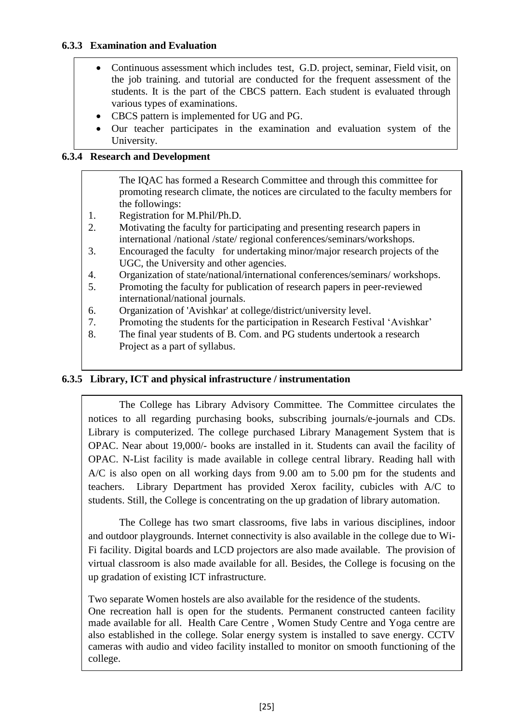# **6.3.3 Examination and Evaluation**

- Continuous assessment which includes test, G.D. project, seminar, Field visit, on the job training. and tutorial are conducted for the frequent assessment of the students. It is the part of the CBCS pattern. Each student is evaluated through various types of examinations.
- CBCS pattern is implemented for UG and PG.
- Our teacher participates in the examination and evaluation system of the University.

#### **6.3.4 Research and Development**

The IQAC has formed a Research Committee and through this committee for promoting research climate, the notices are circulated to the faculty members for the followings:

- 1. Registration for M.Phil/Ph.D.
- 2. Motivating the faculty for participating and presenting research papers in international /national /state/ regional conferences/seminars/workshops.
- 3. Encouraged the faculty for undertaking minor/major research projects of the UGC, the University and other agencies.
- 4. Organization of state/national/international conferences/seminars/ workshops.
- 5. Promoting the faculty for publication of research papers in peer-reviewed international/national journals.
- 6. Organization of 'Avishkar' at college/district/university level.
- 7. Promoting the students for the participation in Research Festival 'Avishkar'
- 8. The final year students of B. Com. and PG students undertook a research Project as a part of syllabus.

#### **6.3.5 Library, ICT and physical infrastructure / instrumentation**

The College has Library Advisory Committee. The Committee circulates the notices to all regarding purchasing books, subscribing journals/e-journals and CDs. Library is computerized. The college purchased Library Management System that is OPAC. Near about 19,000/- books are installed in it. Students can avail the facility of OPAC. N-List facility is made available in college central library. Reading hall with A/C is also open on all working days from 9.00 am to 5.00 pm for the students and teachers. Library Department has provided Xerox facility, cubicles with A/C to students. Still, the College is concentrating on the up gradation of library automation.

The College has two smart classrooms, five labs in various disciplines, indoor and outdoor playgrounds. Internet connectivity is also available in the college due to Wi-Fi facility. Digital boards and LCD projectors are also made available. The provision of virtual classroom is also made available for all. Besides, the College is focusing on the up gradation of existing ICT infrastructure.

Two separate Women hostels are also available for the residence of the students. One recreation hall is open for the students. Permanent constructed canteen facility made available for all. Health Care Centre , Women Study Centre and Yoga centre are also established in the college. Solar energy system is installed to save energy. CCTV cameras with audio and video facility installed to monitor on smooth functioning of the college.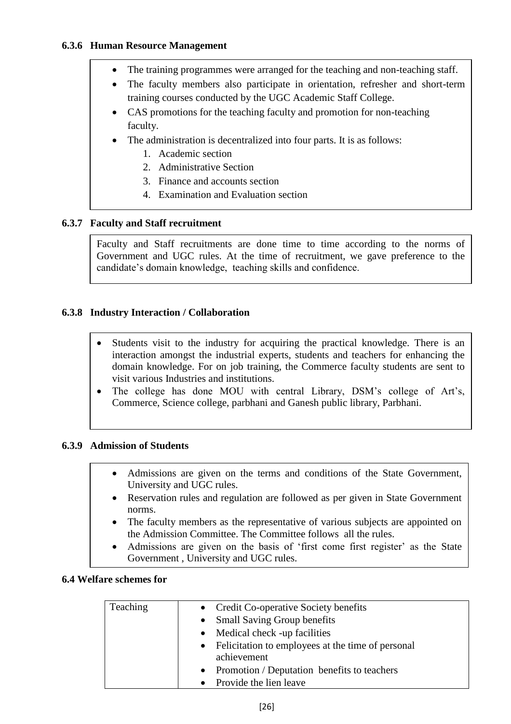- The training programmes were arranged for the teaching and non-teaching staff.
- The faculty members also participate in orientation, refresher and short-term training courses conducted by the UGC Academic Staff College.
- CAS promotions for the teaching faculty and promotion for non-teaching faculty.
- The administration is decentralized into four parts. It is as follows:
	- 1. Academic section
	- 2. Administrative Section
	- 3. Finance and accounts section
	- 4. Examination and Evaluation section

# **6.3.7 Faculty and Staff recruitment**

Faculty and Staff recruitments are done time to time according to the norms of Government and UGC rules. At the time of recruitment, we gave preference to the candidate's domain knowledge, teaching skills and confidence.

#### **6.3.8 Industry Interaction / Collaboration**

- Students visit to the industry for acquiring the practical knowledge. There is an interaction amongst the industrial experts, students and teachers for enhancing the domain knowledge. For on job training, the Commerce faculty students are sent to visit various Industries and institutions.
- The college has done MOU with central Library, DSM's college of Art's, Commerce, Science college, parbhani and Ganesh public library, Parbhani.

#### **6.3.9 Admission of Students**

- Admissions are given on the terms and conditions of the State Government, University and UGC rules.
- Reservation rules and regulation are followed as per given in State Government norms.
- The faculty members as the representative of various subjects are appointed on the Admission Committee. The Committee follows all the rules.
- Admissions are given on the basis of 'first come first register' as the State Government , University and UGC rules.

#### **6.4 Welfare schemes for** ٦

| Teaching | • Credit Co-operative Society benefits              |
|----------|-----------------------------------------------------|
|          | • Small Saving Group benefits                       |
|          | • Medical check -up facilities                      |
|          | • Felicitation to employees at the time of personal |
|          | achievement                                         |
|          | • Promotion / Deputation benefits to teachers       |
|          | Provide the lien leave                              |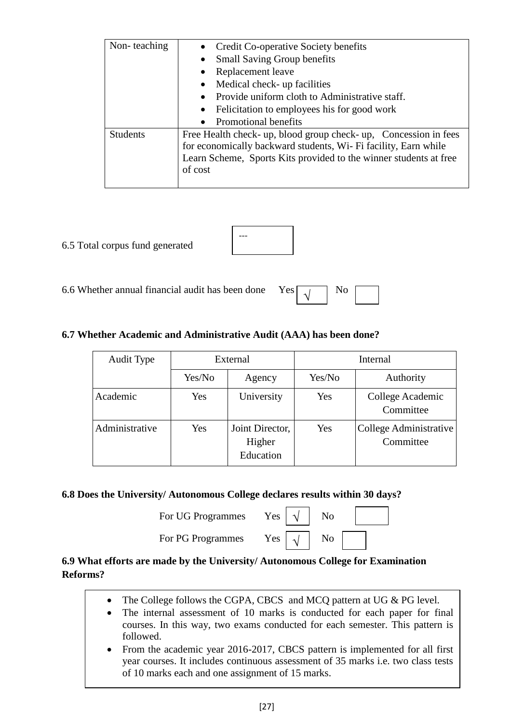| Non-teaching    | Credit Co-operative Society benefits                              |  |  |  |
|-----------------|-------------------------------------------------------------------|--|--|--|
|                 | <b>Small Saving Group benefits</b>                                |  |  |  |
|                 | Replacement leave                                                 |  |  |  |
|                 | Medical check- up facilities                                      |  |  |  |
|                 | Provide uniform cloth to Administrative staff.                    |  |  |  |
|                 | Felicitation to employees his for good work                       |  |  |  |
|                 | Promotional benefits                                              |  |  |  |
| <b>Students</b> | Free Health check- up, blood group check- up, Concession in fees  |  |  |  |
|                 | for economically backward students, Wi- Fi facility, Earn while   |  |  |  |
|                 | Learn Scheme, Sports Kits provided to the winner students at free |  |  |  |
|                 | of cost                                                           |  |  |  |
|                 |                                                                   |  |  |  |

# 6.5 Total corpus fund generated

| --- |  |
|-----|--|
|     |  |

6.6 Whether annual financial audit has been done Yes  $\boxed{1}$  No

# √

# **6.7 Whether Academic and Administrative Audit (AAA) has been done?**

| <b>Audit Type</b> | External |                                        |        | Internal                            |  |
|-------------------|----------|----------------------------------------|--------|-------------------------------------|--|
|                   | Yes/No   | Agency                                 | Yes/No | Authority                           |  |
| Academic          | Yes      | University                             | Yes    | College Academic<br>Committee       |  |
| Administrative    | Yes      | Joint Director,<br>Higher<br>Education | Yes    | College Administrative<br>Committee |  |

## **6.8 Does the University/ Autonomous College declares results within 30 days?**

| For UG Programmes |  | Yes $\vert \sqrt{\vert}$ No |
|-------------------|--|-----------------------------|
|                   |  |                             |

| No |  |
|----|--|
|    |  |

For PG Programmes Yes

| Nο |  |
|----|--|
|    |  |

√

# **6.9 What efforts are made by the University/ Autonomous College for Examination Reforms?**

- The College follows the CGPA, CBCS and MCQ pattern at UG & PG level.
- The internal assessment of 10 marks is conducted for each paper for final courses. In this way, two exams conducted for each semester. This pattern is followed.
- From the academic year 2016-2017, CBCS pattern is implemented for all first year courses. It includes continuous assessment of 35 marks i.e. two class tests of 10 marks each and one assignment of 15 marks.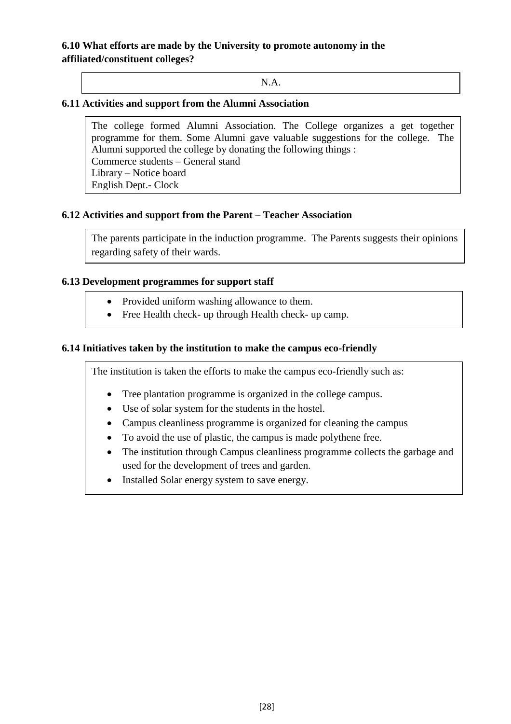# **6.10 What efforts are made by the University to promote autonomy in the affiliated/constituent colleges?**

N.A.

#### **6.11 Activities and support from the Alumni Association**

The college formed Alumni Association. The College organizes a get together programme for them. Some Alumni gave valuable suggestions for the college. The Alumni supported the college by donating the following things : Commerce students – General stand Library – Notice board English Dept.- Clock

#### **6.12 Activities and support from the Parent – Teacher Association**

Final year students donated all the things to the college.

The parents participate in the induction programme. The Parents suggests their opinions regarding safety of their wards.

#### **6.13 Development programmes for support staff**

- Provided uniform washing allowance to them.
- Free Health check- up through Health check- up camp.

#### **6.14 Initiatives taken by the institution to make the campus eco-friendly**

The institution is taken the efforts to make the campus eco-friendly such as:

- Tree plantation programme is organized in the college campus.
- Use of solar system for the students in the hostel.
- Campus cleanliness programme is organized for cleaning the campus
- To avoid the use of plastic, the campus is made polythene free.
- The institution through Campus cleanliness programme collects the garbage and used for the development of trees and garden.
- Installed Solar energy system to save energy.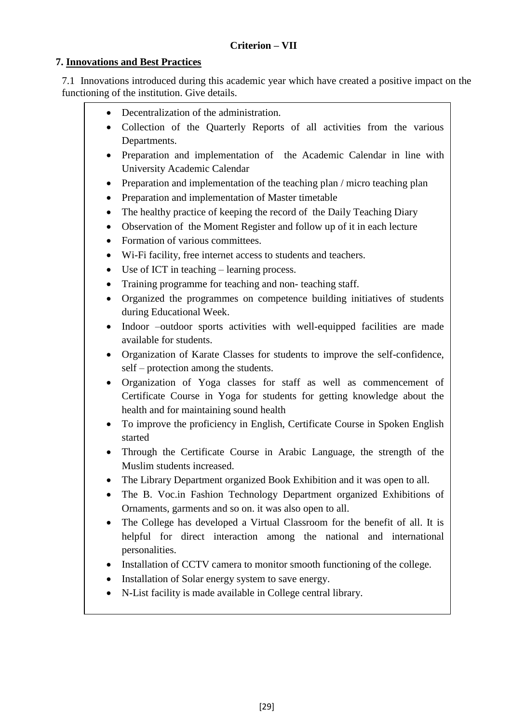# **7. Innovations and Best Practices**

7.1 Innovations introduced during this academic year which have created a positive impact on the functioning of the institution. Give details.

- Decentralization of the administration.
- Collection of the Quarterly Reports of all activities from the various Departments.
- Preparation and implementation of the Academic Calendar in line with University Academic Calendar
- Preparation and implementation of the teaching plan / micro teaching plan
- Preparation and implementation of Master timetable
- The healthy practice of keeping the record of the Daily Teaching Diary
- Observation of the Moment Register and follow up of it in each lecture
- Formation of various committees.
- Wi-Fi facility, free internet access to students and teachers.
- Use of ICT in teaching learning process.
- Training programme for teaching and non- teaching staff.
- Organized the programmes on competence building initiatives of students during Educational Week.
- Indoor –outdoor sports activities with well-equipped facilities are made available for students.
- Organization of Karate Classes for students to improve the self-confidence, self – protection among the students.
- Organization of Yoga classes for staff as well as commencement of Certificate Course in Yoga for students for getting knowledge about the health and for maintaining sound health
- To improve the proficiency in English, Certificate Course in Spoken English started
- Through the Certificate Course in Arabic Language, the strength of the Muslim students increased.
- The Library Department organized Book Exhibition and it was open to all.
- The B. Voc.in Fashion Technology Department organized Exhibitions of Ornaments, garments and so on. it was also open to all.
- The College has developed a Virtual Classroom for the benefit of all. It is helpful for direct interaction among the national and international personalities.
- Installation of CCTV camera to monitor smooth functioning of the college.
- Installation of Solar energy system to save energy.
- N-List facility is made available in College central library.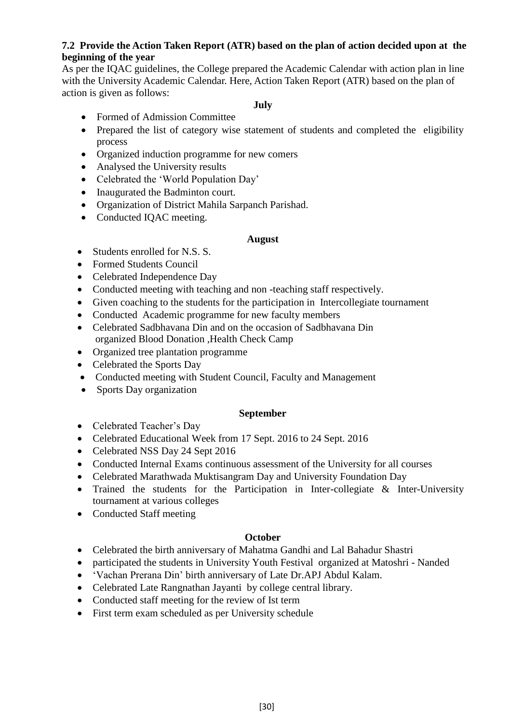#### **7.2 Provide the Action Taken Report (ATR) based on the plan of action decided upon at the beginning of the year**

As per the IQAC guidelines, the College prepared the Academic Calendar with action plan in line with the University Academic Calendar. Here, Action Taken Report (ATR) based on the plan of action is given as follows:

#### **July**

- Formed of Admission Committee
- Prepared the list of category wise statement of students and completed the eligibility process
- Organized induction programme for new comers
- Analysed the University results
- Celebrated the 'World Population Day'
- Inaugurated the Badminton court.
- Organization of District Mahila Sarpanch Parishad.
- Conducted IQAC meeting.

#### **August**

- Students enrolled for N.S. S.
- Formed Students Council
- Celebrated Independence Day
- Conducted meeting with teaching and non-teaching staff respectively.
- Given coaching to the students for the participation in Intercollegiate tournament
- Conducted Academic programme for new faculty members
- Celebrated Sadbhavana Din and on the occasion of Sadbhavana Din organized Blood Donation ,Health Check Camp
- Organized tree plantation programme
- Celebrated the Sports Day
- Conducted meeting with Student Council, Faculty and Management
- Sports Day organization

#### **September**

- Celebrated Teacher's Day
- Celebrated Educational Week from 17 Sept. 2016 to 24 Sept. 2016
- Celebrated NSS Day 24 Sept 2016
- Conducted Internal Exams continuous assessment of the University for all courses
- Celebrated Marathwada Muktisangram Day and University Foundation Day
- Trained the students for the Participation in Inter-collegiate & Inter-University tournament at various colleges
- Conducted Staff meeting

#### **October**

- Celebrated the birth anniversary of Mahatma Gandhi and Lal Bahadur Shastri
- participated the students in University Youth Festival organized at Matoshri Nanded
- 'Vachan Prerana Din' birth anniversary of Late Dr.APJ Abdul Kalam.
- Celebrated Late Rangnathan Jayanti by college central library.
- Conducted staff meeting for the review of Ist term
- First term exam scheduled as per University schedule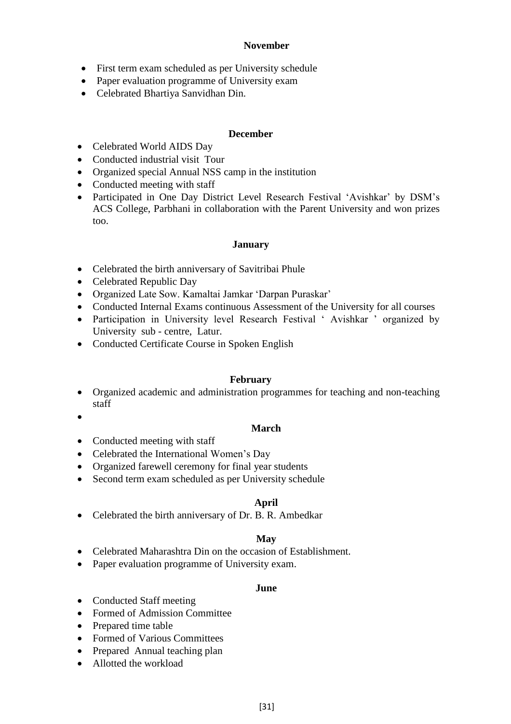#### **November**

- First term exam scheduled as per University schedule
- Paper evaluation programme of University exam
- Celebrated Bhartiya Sanvidhan Din.

#### **December**

- Celebrated World AIDS Day
- Conducted industrial visit Tour
- Organized special Annual NSS camp in the institution
- Conducted meeting with staff
- Participated in One Day District Level Research Festival 'Avishkar' by DSM's ACS College, Parbhani in collaboration with the Parent University and won prizes too.

#### **January**

- Celebrated the birth anniversary of Savitribai Phule
- Celebrated Republic Day
- Organized Late Sow. Kamaltai Jamkar 'Darpan Puraskar'
- Conducted Internal Exams continuous Assessment of the University for all courses
- Participation in University level Research Festival 'Avishkar ' organized by University sub - centre, Latur.
- Conducted Certificate Course in Spoken English

#### **February**

- Organized academic and administration programmes for teaching and non-teaching staff
- $\bullet$

#### **March**

- Conducted meeting with staff
- Celebrated the International Women's Day
- Organized farewell ceremony for final year students
- Second term exam scheduled as per University schedule

#### **April**

• Celebrated the birth anniversary of Dr. B. R. Ambedkar

#### **May**

- Celebrated Maharashtra Din on the occasion of Establishment.
- Paper evaluation programme of University exam.

#### **June**

- Conducted Staff meeting
- Formed of Admission Committee
- Prepared time table
- Formed of Various Committees
- Prepared Annual teaching plan
- Allotted the workload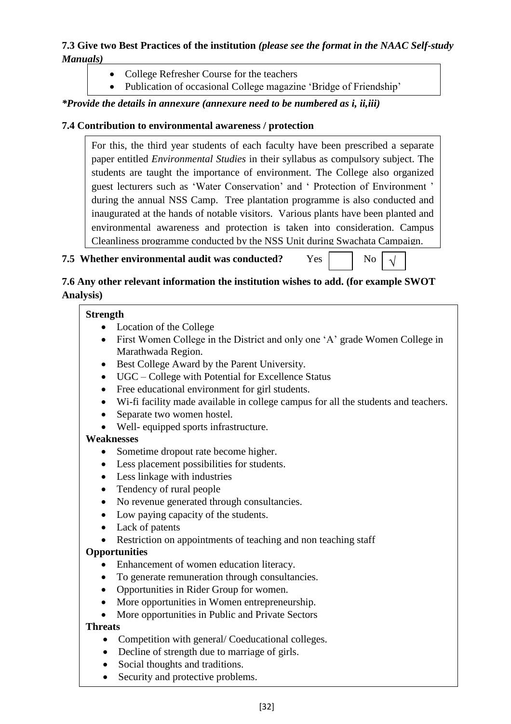# **7.3 Give two Best Practices of the institution** *(please see the format in the NAAC Self-study Manuals)*

- College Refresher Course for the teachers
- Publication of occasional College magazine 'Bridge of Friendship'

*\*Provide the details in annexure (annexure need to be numbered as i, ii,iii)*

# **7.4 Contribution to environmental awareness / protection**

For this, the third year students of each faculty have been prescribed a separate paper entitled *Environmental Studies* in their syllabus as compulsory subject. The students are taught the importance of environment. The College also organized guest lecturers such as 'Water Conservation' and ' Protection of Environment ' during the annual NSS Camp. Tree plantation programme is also conducted and inaugurated at the hands of notable visitors. Various plants have been planted and environmental awareness and protection is taken into consideration. Campus Cleanliness programme conducted by the NSS Unit during Swachata Campaign.

# **7.5 Whether environmental audit was conducted?** Yes No

√

# **7.6 Any other relevant information the institution wishes to add. (for example SWOT Analysis)**

# **Strength**

- Location of the College
- First Women College in the District and only one 'A' grade Women College in Marathwada Region.
- Best College Award by the Parent University.
- UGC College with Potential for Excellence Status
- Free educational environment for girl students.
- Wi-fi facility made available in college campus for all the students and teachers.
- Separate two women hostel.
- Well- equipped sports infrastructure.

# **Weaknesses**

- Sometime dropout rate become higher.
- Less placement possibilities for students.
- Less linkage with industries
- Tendency of rural people
- No revenue generated through consultancies.
- Low paying capacity of the students.
- Lack of patents
- Restriction on appointments of teaching and non teaching staff

# **Opportunities**

- Enhancement of women education literacy.
- To generate remuneration through consultancies.
- Opportunities in Rider Group for women.
- More opportunities in Women entrepreneurship.
- More opportunities in Public and Private Sectors

# **Threats**

- Competition with general/ Coeducational colleges.
- Decline of strength due to marriage of girls.
- Social thoughts and traditions.
- Security and protective problems.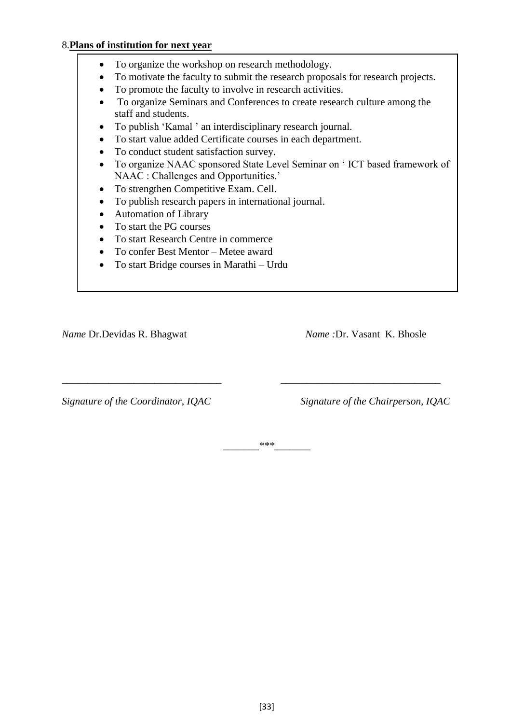#### 8.**Plans of institution for next year**

- To organize the workshop on research methodology.
- To motivate the faculty to submit the research proposals for research projects.
- To promote the faculty to involve in research activities.
- To organize Seminars and Conferences to create research culture among the staff and students.
- To publish 'Kamal ' an interdisciplinary research journal.
- To start value added Certificate courses in each department.
- To conduct student satisfaction survey.
- To organize NAAC sponsored State Level Seminar on ' ICT based framework of NAAC : Challenges and Opportunities.'
- To strengthen Competitive Exam. Cell.
- To publish research papers in international journal.
- Automation of Library
- To start the PG courses
- To start Research Centre in commerce
- To confer Best Mentor Metee award
- To start Bridge courses in Marathi Urdu

*Name* Dr.Devidas R. Bhagwat *Name :*Dr. Vasant K. Bhosle

*Signature of the Coordinator, IQAC Signature of the Chairperson, IQAC*

*\_\_\_\_\_\_\_\*\*\*\_\_\_\_\_\_\_*

*\_\_\_\_\_\_\_\_\_\_\_\_\_\_\_\_\_\_\_\_\_\_\_\_\_\_\_\_\_\_\_ \_\_\_\_\_\_\_\_\_\_\_\_\_\_\_\_\_\_\_\_\_\_\_\_\_\_\_\_\_\_\_*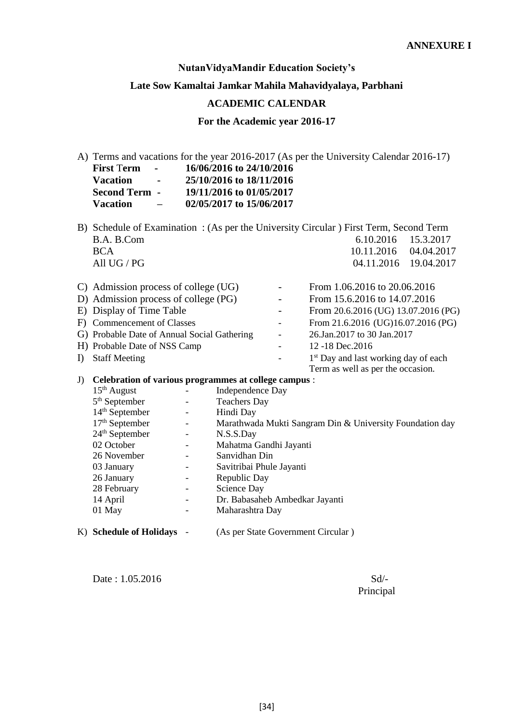#### **NutanVidyaMandir Education Society's**

#### **Late Sow Kamaltai Jamkar Mahila Mahavidyalaya, Parbhani**

#### **ACADEMIC CALENDAR**

**For the Academic year 2016-17**

A) Terms and vacations for the year 2016-2017 (As per the University Calendar 2016-17)<br>First Term  $\cdot$  16/06/2016 to 24/10/2016 **First** T**erm - 16/06/2016 to 24/10/2016 Vacation - 25/10/2016 to 18/11/2016 Second Term - 19/11/2016 to 01/05/2017 Vacation – 02/05/2017 to 15/06/2017**

- B) Schedule of Examination : (As per the University Circular ) First Term, Second Term B.A. B.Com 6.10.2016 15.3.2017 BCA 10.11.2016 04.04.2017
- All UG / PG 04.11.2016 19.04.2017 C) Admission process of college (UG) From 1.06.2016 to 20.06.2016 D) Admission process of college (PG) - From 15.6.2016 to 14.07.2016 E) Display of Time Table - From 20.6.2016 (UG) 13.07.2016 (PG) F) Commencement of Classes - From 21.6.2016 (UG)16.07.2016 (PG) G) Probable Date of Annual Social Gathering  $-26$ .Jan.2017 to 30 Jan.2017 H) Probable Date of NSS Camp 12-18 Dec. 2016 I) Staff Meeting 1<sup>st</sup> Day and last working day of each Term as well as per the occasion.

#### J) **Celebration of various programmes at college campus** :

| K) Schedule of Holidays    |                          | (As per State Government Circular)                       |
|----------------------------|--------------------------|----------------------------------------------------------|
| 01 May                     |                          | Maharashtra Day                                          |
| 14 April                   | -                        | Dr. Babasaheb Ambedkar Jayanti                           |
| 28 February                |                          | Science Day                                              |
| 26 January                 |                          | Republic Day                                             |
| 03 January                 |                          | Savitribai Phule Jayanti                                 |
| 26 November                |                          | Sanvidhan Din                                            |
| 02 October                 |                          | Mahatma Gandhi Jayanti                                   |
| 24 <sup>th</sup> September |                          | N.S.S.Day                                                |
| $17th$ September           | $\overline{\phantom{a}}$ | Marathwada Mukti Sangram Din & University Foundation day |
| $14th$ September           |                          | Hindi Day                                                |
| $5th$ September            |                          | <b>Teachers Day</b>                                      |
| $15th$ August              |                          | Independence Day                                         |
|                            |                          |                                                          |

 $Date: 1.05.2016$   $Sd/-$ 

Principal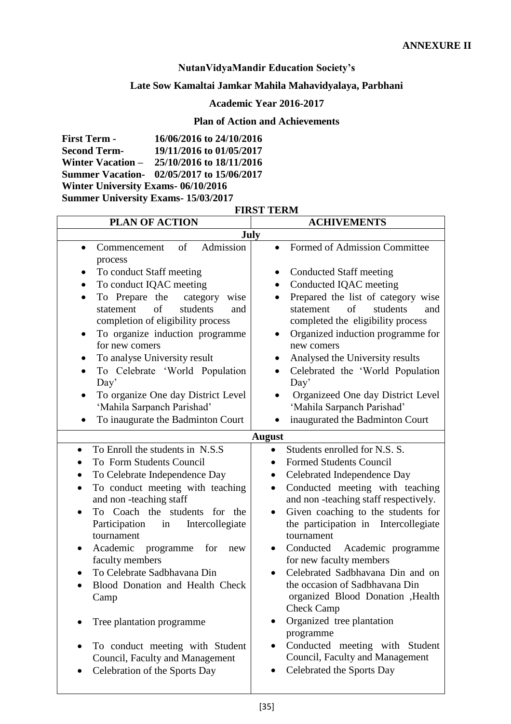# **NutanVidyaMandir Education Society's**

# **Late Sow Kamaltai Jamkar Mahila Mahavidyalaya, Parbhani**

# **Academic Year 2016-2017**

# **Plan of Action and Achievements**

| <b>First Term -</b>                       | 16/06/2016 to 24/10/2016                   |  |  |
|-------------------------------------------|--------------------------------------------|--|--|
| <b>Second Term-</b>                       | 19/11/2016 to 01/05/2017                   |  |  |
|                                           | Winter Vacation - 25/10/2016 to 18/11/2016 |  |  |
|                                           | Summer Vacation- 02/05/2017 to 15/06/2017  |  |  |
| <b>Winter University Exams-06/10/2016</b> |                                            |  |  |
| <b>Summer University Exams-15/03/2017</b> |                                            |  |  |

#### **FIRST TERM**

| <b>PLAN OF ACTION</b>                                                                                                                                                                                                                                                                                                                                                                                                                                                    | <b>ACHIVEMENTS</b>                                                                                                                                                                                                                                                                                                                                                                                                                                                                                                                                                                                  |  |  |  |
|--------------------------------------------------------------------------------------------------------------------------------------------------------------------------------------------------------------------------------------------------------------------------------------------------------------------------------------------------------------------------------------------------------------------------------------------------------------------------|-----------------------------------------------------------------------------------------------------------------------------------------------------------------------------------------------------------------------------------------------------------------------------------------------------------------------------------------------------------------------------------------------------------------------------------------------------------------------------------------------------------------------------------------------------------------------------------------------------|--|--|--|
| July                                                                                                                                                                                                                                                                                                                                                                                                                                                                     |                                                                                                                                                                                                                                                                                                                                                                                                                                                                                                                                                                                                     |  |  |  |
| Admission<br>of<br>Commencement<br>$\bullet$<br>process                                                                                                                                                                                                                                                                                                                                                                                                                  | Formed of Admission Committee<br>$\bullet$                                                                                                                                                                                                                                                                                                                                                                                                                                                                                                                                                          |  |  |  |
| To conduct Staff meeting<br>٠<br>To conduct IQAC meeting<br>To Prepare the<br>category<br>wise<br>$\bullet$<br>of<br>students<br>statement<br>and<br>completion of eligibility process<br>To organize induction programme<br>$\bullet$<br>for new comers<br>To analyse University result<br>To Celebrate 'World Population<br>$\bullet$<br>Day'<br>To organize One day District Level<br>٠<br>'Mahila Sarpanch Parishad'                                                 | <b>Conducted Staff meeting</b><br>Conducted IQAC meeting<br>Prepared the list of category wise<br>of<br>statement<br>students<br>and<br>completed the eligibility process<br>Organized induction programme for<br>new comers<br>Analysed the University results<br>Celebrated the 'World Population<br>Day'<br>Organizeed One day District Level<br>'Mahila Sarpanch Parishad'                                                                                                                                                                                                                      |  |  |  |
| To inaugurate the Badminton Court                                                                                                                                                                                                                                                                                                                                                                                                                                        | inaugurated the Badminton Court                                                                                                                                                                                                                                                                                                                                                                                                                                                                                                                                                                     |  |  |  |
|                                                                                                                                                                                                                                                                                                                                                                                                                                                                          | <b>August</b>                                                                                                                                                                                                                                                                                                                                                                                                                                                                                                                                                                                       |  |  |  |
| To Enroll the students in N.S.S.<br>$\bullet$<br>To Form Students Council<br>To Celebrate Independence Day<br>To conduct meeting with teaching<br>and non-teaching staff<br>To Coach the students<br>for the<br>Participation<br>Intercollegiate<br>in<br>tournament<br>Academic<br>for<br>programme<br>new<br>faculty members<br>To Celebrate Sadbhavana Din<br>Blood Donation and Health Check<br>Camp<br>Tree plantation programme<br>To conduct meeting with Student | Students enrolled for N.S. S.<br>$\bullet$<br><b>Formed Students Council</b><br>$\bullet$<br>Celebrated Independence Day<br>$\bullet$<br>Conducted meeting with teaching<br>$\bullet$<br>and non-teaching staff respectively.<br>Given coaching to the students for<br>the participation in Intercollegiate<br>tournament<br>Conducted<br>Academic programme<br>for new faculty members<br>Celebrated Sadbhavana Din and on<br>the occasion of Sadbhavana Din<br>organized Blood Donation , Health<br><b>Check Camp</b><br>Organized tree plantation<br>programme<br>Conducted meeting with Student |  |  |  |
| Council, Faculty and Management<br>Celebration of the Sports Day                                                                                                                                                                                                                                                                                                                                                                                                         | Council, Faculty and Management<br>Celebrated the Sports Day                                                                                                                                                                                                                                                                                                                                                                                                                                                                                                                                        |  |  |  |

 $\overline{\phantom{a}}$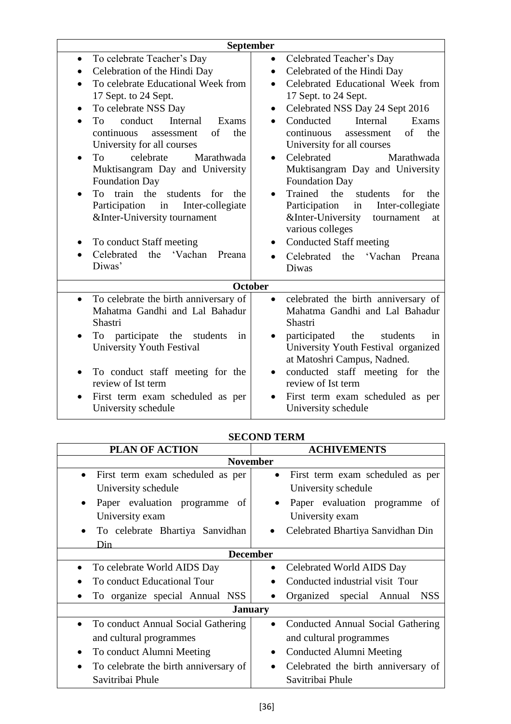| September                                          |                                                       |  |  |  |
|----------------------------------------------------|-------------------------------------------------------|--|--|--|
| To celebrate Teacher's Day<br>$\bullet$            | Celebrated Teacher's Day<br>$\bullet$                 |  |  |  |
| Celebration of the Hindi Day<br>$\bullet$          | Celebrated of the Hindi Day<br>$\bullet$              |  |  |  |
| To celebrate Educational Week from                 | Celebrated Educational Week from<br>$\bullet$         |  |  |  |
| 17 Sept. to 24 Sept.                               | 17 Sept. to 24 Sept.                                  |  |  |  |
| To celebrate NSS Day                               | Celebrated NSS Day 24 Sept 2016<br>$\bullet$          |  |  |  |
| conduct<br>Internal<br>Exams<br>To                 | Conducted<br>Internal<br>Exams                        |  |  |  |
| continuous<br>of<br>the<br>assessment              | of<br>continuous<br>the<br>assessment                 |  |  |  |
| University for all courses                         | University for all courses                            |  |  |  |
| celebrate<br>Marathwada<br>To.<br>$\bullet$        | Celebrated<br>Marathwada<br>$\bullet$                 |  |  |  |
| Muktisangram Day and University                    | Muktisangram Day and University                       |  |  |  |
| <b>Foundation Day</b>                              | <b>Foundation Day</b>                                 |  |  |  |
| To train the<br>students<br>for<br>the             | Trained<br>the<br>students<br>for<br>the<br>$\bullet$ |  |  |  |
| Participation<br>Inter-collegiate<br>in            | Participation<br>Inter-collegiate<br>in               |  |  |  |
| &Inter-University tournament                       | &Inter-University<br>tournament<br>at                 |  |  |  |
|                                                    | various colleges                                      |  |  |  |
| To conduct Staff meeting                           | <b>Conducted Staff meeting</b>                        |  |  |  |
| Celebrated the<br>'Vachan<br>Preana                | Celebrated the<br>'Vachan<br>Preana                   |  |  |  |
| Diwas'                                             | Diwas                                                 |  |  |  |
|                                                    | <b>October</b>                                        |  |  |  |
| To celebrate the birth anniversary of<br>$\bullet$ | celebrated the birth anniversary of<br>$\bullet$      |  |  |  |
| Mahatma Gandhi and Lal Bahadur                     | Mahatma Gandhi and Lal Bahadur                        |  |  |  |
| Shastri                                            | Shastri                                               |  |  |  |
| To participate the students<br>in                  | participated the<br>students<br>in                    |  |  |  |
| <b>University Youth Festival</b>                   | University Youth Festival organized                   |  |  |  |
|                                                    | at Matoshri Campus, Nadned.                           |  |  |  |
| To conduct staff meeting for the<br>$\bullet$      | conducted staff meeting for the<br>$\bullet$          |  |  |  |
| review of Ist term                                 | review of Ist term                                    |  |  |  |
| First term exam scheduled as per                   | First term exam scheduled as per                      |  |  |  |
| University schedule                                | University schedule                                   |  |  |  |

| <b>SECOND TERM</b> |  |
|--------------------|--|
|                    |  |

| <b>PLAN OF ACTION</b>                              | <b>ACHIVEMENTS</b>                               |  |  |  |  |
|----------------------------------------------------|--------------------------------------------------|--|--|--|--|
| <b>November</b>                                    |                                                  |  |  |  |  |
| First term exam scheduled as per<br>$\bullet$      | First term exam scheduled as per<br>$\bullet$    |  |  |  |  |
| University schedule                                | University schedule                              |  |  |  |  |
| Paper evaluation programme<br>of                   | Paper evaluation programme<br>of                 |  |  |  |  |
| University exam                                    | University exam                                  |  |  |  |  |
| To celebrate Bhartiya Sanvidhan                    | Celebrated Bhartiya Sanvidhan Din<br>$\bullet$   |  |  |  |  |
| Din                                                |                                                  |  |  |  |  |
|                                                    | <b>December</b>                                  |  |  |  |  |
| To celebrate World AIDS Day<br>$\bullet$           | Celebrated World AIDS Day<br>$\bullet$           |  |  |  |  |
| To conduct Educational Tour                        | Conducted industrial visit Tour                  |  |  |  |  |
| To organize special Annual NSS                     | Organized special Annual<br><b>NSS</b>           |  |  |  |  |
|                                                    | <b>January</b>                                   |  |  |  |  |
| To conduct Annual Social Gathering<br>$\bullet$    | Conducted Annual Social Gathering                |  |  |  |  |
| and cultural programmes                            | and cultural programmes                          |  |  |  |  |
| To conduct Alumni Meeting<br>٠                     | Conducted Alumni Meeting                         |  |  |  |  |
| To celebrate the birth anniversary of<br>$\bullet$ | Celebrated the birth anniversary of<br>$\bullet$ |  |  |  |  |
| Savitribai Phule                                   | Savitribai Phule                                 |  |  |  |  |
|                                                    |                                                  |  |  |  |  |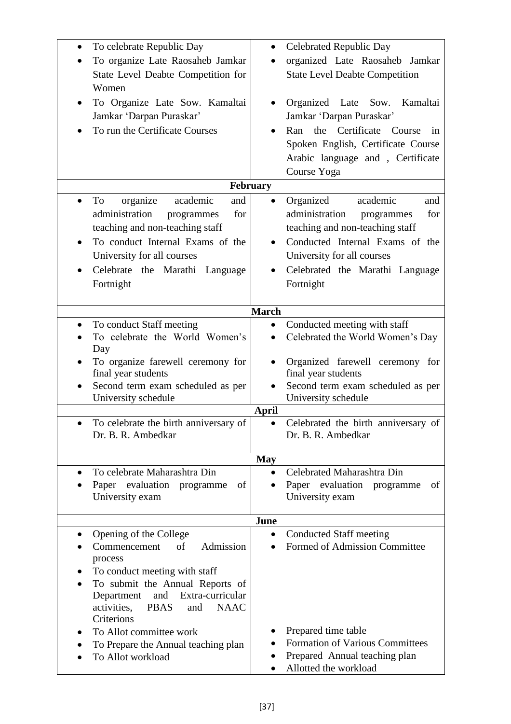| To celebrate Republic Day                                                | <b>Celebrated Republic Day</b>                           |
|--------------------------------------------------------------------------|----------------------------------------------------------|
| To organize Late Raosaheb Jamkar                                         | organized Late Raosaheb Jamkar                           |
| State Level Deabte Competition for                                       | <b>State Level Deabte Competition</b>                    |
| Women                                                                    |                                                          |
| To Organize Late Sow. Kamaltai                                           | Organized Late Sow.<br>Kamaltai                          |
| Jamkar 'Darpan Puraskar'                                                 | Jamkar 'Darpan Puraskar'                                 |
| To run the Certificate Courses                                           | Certificate<br>the<br>Ran<br>Course<br>in                |
|                                                                          | Spoken English, Certificate Course                       |
|                                                                          | Arabic language and, Certificate                         |
|                                                                          | Course Yoga                                              |
| February                                                                 |                                                          |
| organize<br>and<br>To<br>academic<br>$\bullet$                           | Organized<br>academic<br>and                             |
| administration<br>for<br>programmes                                      | administration<br>for<br>programmes                      |
| teaching and non-teaching staff                                          | teaching and non-teaching staff                          |
| To conduct Internal Exams of the<br>$\bullet$                            | Conducted Internal Exams of the                          |
| University for all courses                                               | University for all courses                               |
| Celebrate<br>the Marathi<br>Language                                     | Celebrated the Marathi Language                          |
| Fortnight                                                                | Fortnight                                                |
|                                                                          |                                                          |
| <b>March</b>                                                             |                                                          |
| To conduct Staff meeting<br>$\bullet$                                    | Conducted meeting with staff<br>$\bullet$                |
| To celebrate the World Women's                                           | Celebrated the World Women's Day                         |
| Day                                                                      |                                                          |
| To organize farewell ceremony for                                        | Organized farewell ceremony for                          |
| final year students                                                      | final year students                                      |
| Second term exam scheduled as per<br>University schedule                 | Second term exam scheduled as per<br>University schedule |
| <b>April</b>                                                             |                                                          |
| To celebrate the birth anniversary of                                    | Celebrated the birth anniversary of                      |
| Dr. B. R. Ambedkar                                                       | Dr. B. R. Ambedkar                                       |
|                                                                          |                                                          |
| To celebrate Maharashtra Din<br>$\bullet$                                | <b>May</b><br>Celebrated Maharashtra Din                 |
| Paper evaluation programme<br>of                                         | evaluation programme<br>Paper<br>of                      |
| University exam                                                          | University exam                                          |
|                                                                          |                                                          |
| June                                                                     |                                                          |
| Opening of the College<br>$\bullet$                                      | <b>Conducted Staff meeting</b><br>$\bullet$              |
| of<br>Admission<br>Commencement                                          | <b>Formed of Admission Committee</b>                     |
| process                                                                  |                                                          |
| To conduct meeting with staff                                            |                                                          |
| To submit the Annual Reports of<br>Extra-curricular<br>and<br>Department |                                                          |
| activities,<br><b>PBAS</b><br><b>NAAC</b><br>and                         |                                                          |
| Criterions                                                               |                                                          |
| To Allot committee work                                                  | Prepared time table                                      |
| To Prepare the Annual teaching plan                                      | <b>Formation of Various Committees</b><br>$\bullet$      |
| To Allot workload                                                        | Prepared Annual teaching plan                            |
|                                                                          | Allotted the workload                                    |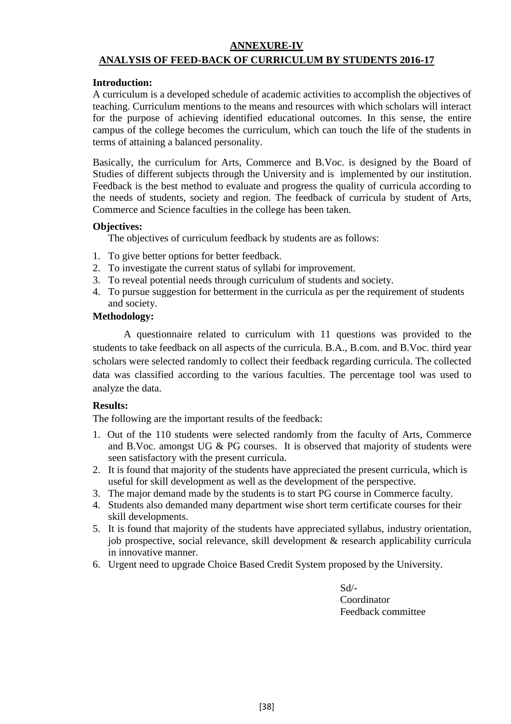# **ANNEXURE-IV ANALYSIS OF FEED-BACK OF CURRICULUM BY STUDENTS 2016-17**

#### **Introduction:**

A curriculum is a developed schedule of academic activities to accomplish the objectives of teaching. Curriculum mentions to the means and resources with which scholars will interact for the purpose of achieving identified educational outcomes. In this sense, the entire campus of the college becomes the curriculum, which can touch the life of the students in terms of attaining a balanced personality.

Basically, the curriculum for Arts, Commerce and B.Voc. is designed by the Board of Studies of different subjects through the University and is implemented by our institution. Feedback is the best method to evaluate and progress the quality of curricula according to the needs of students, society and region. The feedback of curricula by student of Arts, Commerce and Science faculties in the college has been taken.

#### **Objectives:**

The objectives of curriculum feedback by students are as follows:

- 1. To give better options for better feedback.
- 2. To investigate the current status of syllabi for improvement.
- 3. To reveal potential needs through curriculum of students and society.
- 4. To pursue suggestion for betterment in the curricula as per the requirement of students and society.

#### **Methodology:**

A questionnaire related to curriculum with 11 questions was provided to the students to take feedback on all aspects of the curricula. B.A., B.com. and B.Voc. third year scholars were selected randomly to collect their feedback regarding curricula. The collected data was classified according to the various faculties. The percentage tool was used to analyze the data.

#### **Results:**

The following are the important results of the feedback:

- 1. Out of the 110 students were selected randomly from the faculty of Arts, Commerce and B.Voc. amongst UG & PG courses. It is observed that majority of students were seen satisfactory with the present curricula.
- 2. It is found that majority of the students have appreciated the present curricula, which is useful for skill development as well as the development of the perspective.
- 3. The major demand made by the students is to start PG course in Commerce faculty.
- 4. Students also demanded many department wise short term certificate courses for their skill developments.
- 5. It is found that majority of the students have appreciated syllabus, industry orientation, job prospective, social relevance, skill development & research applicability curricula in innovative manner.
- 6. Urgent need to upgrade Choice Based Credit System proposed by the University.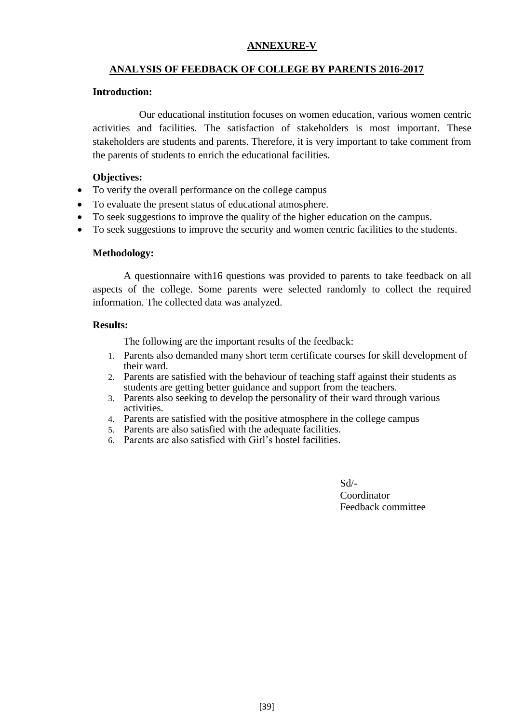#### **ANNEXURE-V**

#### **ANALYSIS OF FEEDBACK OF COLLEGE BY PARENTS 2016-2017**

#### **Introduction:**

Our educational institution focuses on women education, various women centric activities and facilities. The satisfaction of stakeholders is most important. These stakeholders are students and parents. Therefore, it is very important to take comment from the parents of students to enrich the educational facilities.

#### **Objectives:**

- To verify the overall performance on the college campus
- To evaluate the present status of educational atmosphere.
- To seek suggestions to improve the quality of the higher education on the campus.
- To seek suggestions to improve the security and women centric facilities to the students.

#### **Methodology:**

A questionnaire with16 questions was provided to parents to take feedback on all aspects of the college. Some parents were selected randomly to collect the required information. The collected data was analyzed.

#### **Results:**

The following are the important results of the feedback:

- 1. Parents also demanded many short term certificate courses for skill development of their ward.
- 2. Parents are satisfied with the behaviour of teaching staff against their students as students are getting better guidance and support from the teachers.
- 3. Parents also seeking to develop the personality of their ward through various activities.
- 4. Parents are satisfied with the positive atmosphere in the college campus
- 5. Parents are also satisfied with the adequate facilities.
- 6. Parents are also satisfied with Girl's hostel facilities.

 $Sd$ <sup>-</sup> Coordinator Feedback committee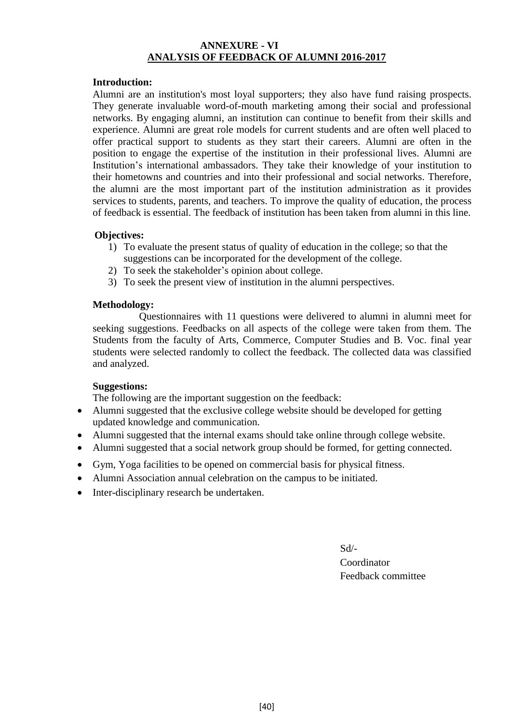#### **ANNEXURE - VI ANALYSIS OF FEEDBACK OF ALUMNI 2016-2017**

#### **Introduction:**

Alumni are an institution's most loyal supporters; they also have fund raising prospects. They generate invaluable word-of-mouth marketing among their social and professional networks. By engaging alumni, an institution can continue to benefit from their skills and experience. Alumni are great role models for current students and are often well placed to offer practical support to students as they start their careers. Alumni are often in the position to engage the expertise of the institution in their professional lives. Alumni are Institution's international ambassadors. They take their knowledge of your institution to their hometowns and countries and into their professional and social networks. Therefore, the alumni are the most important part of the institution administration as it provides services to students, parents, and teachers. To improve the quality of education, the process of feedback is essential. The feedback of institution has been taken from alumni in this line.

#### **Objectives:**

- 1) To evaluate the present status of quality of education in the college; so that the suggestions can be incorporated for the development of the college.
- 2) To seek the stakeholder's opinion about college.
- 3) To seek the present view of institution in the alumni perspectives.

#### **Methodology:**

Questionnaires with 11 questions were delivered to alumni in alumni meet for seeking suggestions. Feedbacks on all aspects of the college were taken from them. The Students from the faculty of Arts, Commerce, Computer Studies and B. Voc. final year students were selected randomly to collect the feedback. The collected data was classified and analyzed.

#### **Suggestions:**

The following are the important suggestion on the feedback:

- Alumni suggested that the exclusive college website should be developed for getting updated knowledge and communication.
- Alumni suggested that the internal exams should take online through college website.
- Alumni suggested that a social network group should be formed, for getting connected.
- Gym, Yoga facilities to be opened on commercial basis for physical fitness.
- Alumni Association annual celebration on the campus to be initiated.
- Inter-disciplinary research be undertaken.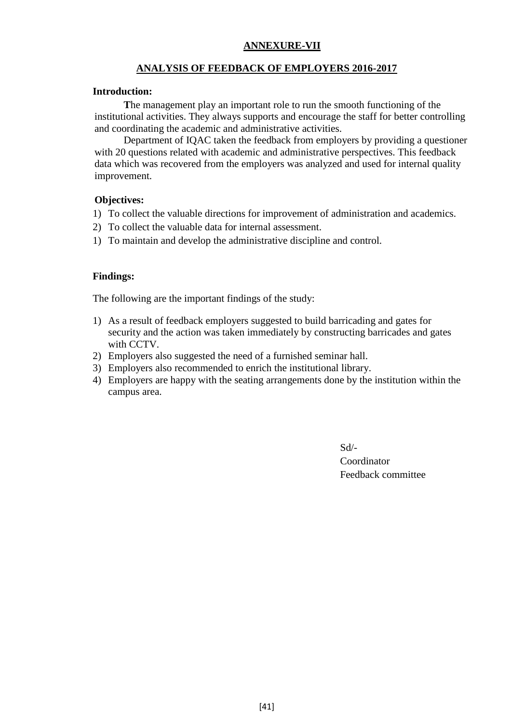#### **ANNEXURE-VII**

#### **ANALYSIS OF FEEDBACK OF EMPLOYERS 2016-2017**

#### **Introduction:**

**T**he management play an important role to run the smooth functioning of the institutional activities. They always supports and encourage the staff for better controlling and coordinating the academic and administrative activities.

Department of IQAC taken the feedback from employers by providing a questioner with 20 questions related with academic and administrative perspectives. This feedback data which was recovered from the employers was analyzed and used for internal quality improvement.

#### **Objectives:**

- 1) To collect the valuable directions for improvement of administration and academics.
- 2) To collect the valuable data for internal assessment.
- 1) To maintain and develop the administrative discipline and control.

#### **Findings:**

The following are the important findings of the study:

- 1) As a result of feedback employers suggested to build barricading and gates for security and the action was taken immediately by constructing barricades and gates with CCTV.
- 2) Employers also suggested the need of a furnished seminar hall.
- 3) Employers also recommended to enrich the institutional library.
- 4) Employers are happy with the seating arrangements done by the institution within the campus area.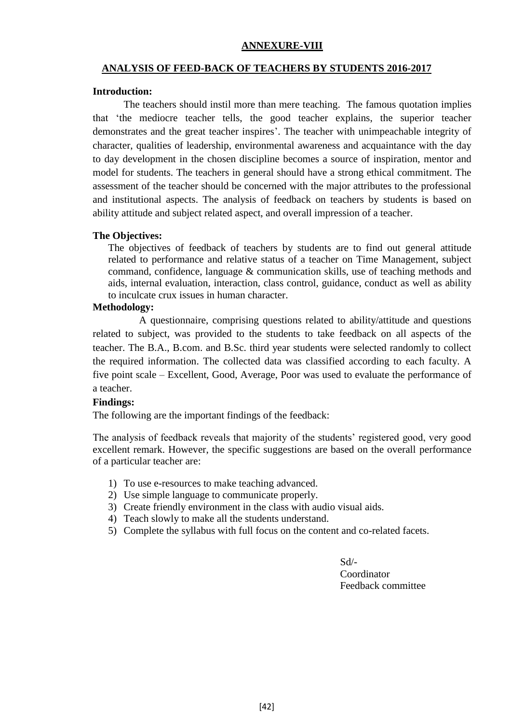#### **ANNEXURE-VIII**

#### **ANALYSIS OF FEED-BACK OF TEACHERS BY STUDENTS 2016-2017**

#### **Introduction:**

The teachers should instil more than mere teaching. The famous quotation implies that 'the mediocre teacher tells, the good teacher explains, the superior teacher demonstrates and the great teacher inspires'. The teacher with unimpeachable integrity of character, qualities of leadership, environmental awareness and acquaintance with the day to day development in the chosen discipline becomes a source of inspiration, mentor and model for students. The teachers in general should have a strong ethical commitment. The assessment of the teacher should be concerned with the major attributes to the professional and institutional aspects. The analysis of feedback on teachers by students is based on ability attitude and subject related aspect, and overall impression of a teacher.

#### **The Objectives:**

The objectives of feedback of teachers by students are to find out general attitude related to performance and relative status of a teacher on Time Management, subject command, confidence, language & communication skills, use of teaching methods and aids, internal evaluation, interaction, class control, guidance, conduct as well as ability to inculcate crux issues in human character.

#### **Methodology:**

A questionnaire, comprising questions related to ability/attitude and questions related to subject, was provided to the students to take feedback on all aspects of the teacher. The B.A., B.com. and B.Sc. third year students were selected randomly to collect the required information. The collected data was classified according to each faculty. A five point scale – Excellent, Good, Average, Poor was used to evaluate the performance of a teacher.

#### **Findings:**

The following are the important findings of the feedback:

The analysis of feedback reveals that majority of the students' registered good, very good excellent remark. However, the specific suggestions are based on the overall performance of a particular teacher are:

- 1) To use e-resources to make teaching advanced.
- 2) Use simple language to communicate properly.
- 3) Create friendly environment in the class with audio visual aids.
- 4) Teach slowly to make all the students understand.
- 5) Complete the syllabus with full focus on the content and co-related facets.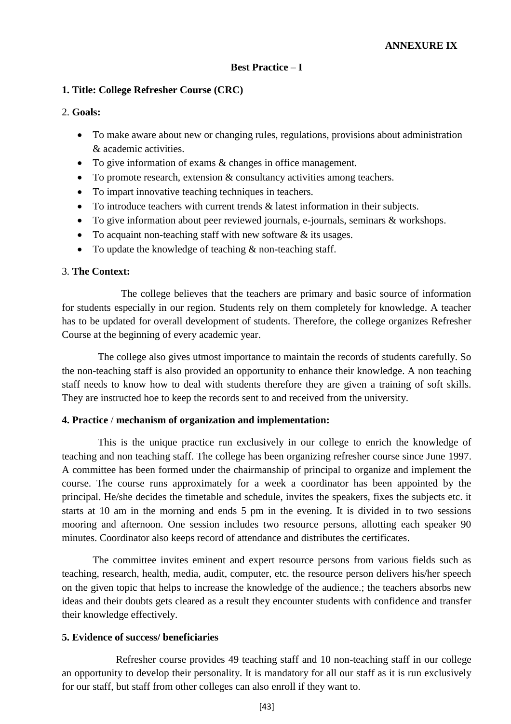#### **Best Practice** – **I**

#### **1. Title: College Refresher Course (CRC)**

#### 2. **Goals:**

- To make aware about new or changing rules, regulations, provisions about administration & academic activities.
- To give information of exams & changes in office management.
- To promote research, extension & consultancy activities among teachers.
- To impart innovative teaching techniques in teachers.
- $\bullet$  To introduce teachers with current trends  $\&$  latest information in their subjects.
- To give information about peer reviewed journals, e-journals, seminars & workshops.
- To acquaint non-teaching staff with new software & its usages.
- To update the knowledge of teaching  $\&$  non-teaching staff.

#### 3. **The Context:**

The college believes that the teachers are primary and basic source of information for students especially in our region. Students rely on them completely for knowledge. A teacher has to be updated for overall development of students. Therefore, the college organizes Refresher Course at the beginning of every academic year.

 The college also gives utmost importance to maintain the records of students carefully. So the non-teaching staff is also provided an opportunity to enhance their knowledge. A non teaching staff needs to know how to deal with students therefore they are given a training of soft skills. They are instructed hoe to keep the records sent to and received from the university.

#### **4. Practice** / **mechanism of organization and implementation:**

 This is the unique practice run exclusively in our college to enrich the knowledge of teaching and non teaching staff. The college has been organizing refresher course since June 1997. A committee has been formed under the chairmanship of principal to organize and implement the course. The course runs approximately for a week a coordinator has been appointed by the principal. He/she decides the timetable and schedule, invites the speakers, fixes the subjects etc. it starts at 10 am in the morning and ends 5 pm in the evening. It is divided in to two sessions mooring and afternoon. One session includes two resource persons, allotting each speaker 90 minutes. Coordinator also keeps record of attendance and distributes the certificates.

 The committee invites eminent and expert resource persons from various fields such as teaching, research, health, media, audit, computer, etc. the resource person delivers his/her speech on the given topic that helps to increase the knowledge of the audience.; the teachers absorbs new ideas and their doubts gets cleared as a result they encounter students with confidence and transfer their knowledge effectively.

#### **5. Evidence of success/ beneficiaries**

 Refresher course provides 49 teaching staff and 10 non-teaching staff in our college an opportunity to develop their personality. It is mandatory for all our staff as it is run exclusively for our staff, but staff from other colleges can also enroll if they want to.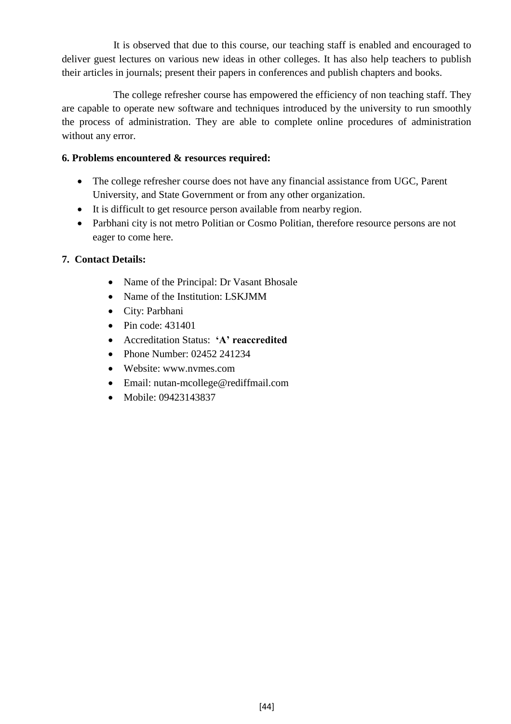It is observed that due to this course, our teaching staff is enabled and encouraged to deliver guest lectures on various new ideas in other colleges. It has also help teachers to publish their articles in journals; present their papers in conferences and publish chapters and books.

 The college refresher course has empowered the efficiency of non teaching staff. They are capable to operate new software and techniques introduced by the university to run smoothly the process of administration. They are able to complete online procedures of administration without any error.

## **6. Problems encountered & resources required:**

- The college refresher course does not have any financial assistance from UGC, Parent University, and State Government or from any other organization.
- It is difficult to get resource person available from nearby region.
- Parbhani city is not metro Politian or Cosmo Politian, therefore resource persons are not eager to come here.

# **7. Contact Details:**

- Name of the Principal: Dr Vasant Bhosale
- Name of the Institution: LSKJMM
- City: Parbhani
- $\bullet$  Pin code: 431401
- Accreditation Status: **'A' reaccredited**
- Phone Number: 02452 241234
- Website: www.nvmes.com
- Email: nutan-mcollege@rediffmail.com
- Mobile: 09423143837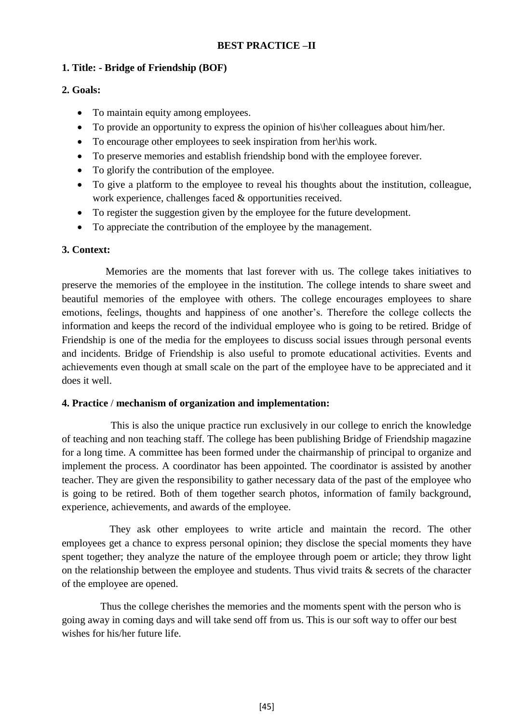# **BEST PRACTICE –II**

# **1. Title: - Bridge of Friendship (BOF)**

# **2. Goals:**

- To maintain equity among employees.
- To provide an opportunity to express the opinion of his her colleagues about him/her.
- To encourage other employees to seek inspiration from her\his work.
- To preserve memories and establish friendship bond with the employee forever.
- To glorify the contribution of the employee.
- To give a platform to the employee to reveal his thoughts about the institution, colleague, work experience, challenges faced & opportunities received.
- To register the suggestion given by the employee for the future development.
- To appreciate the contribution of the employee by the management.

# **3. Context:**

 Memories are the moments that last forever with us. The college takes initiatives to preserve the memories of the employee in the institution. The college intends to share sweet and beautiful memories of the employee with others. The college encourages employees to share emotions, feelings, thoughts and happiness of one another's. Therefore the college collects the information and keeps the record of the individual employee who is going to be retired. Bridge of Friendship is one of the media for the employees to discuss social issues through personal events and incidents. Bridge of Friendship is also useful to promote educational activities. Events and achievements even though at small scale on the part of the employee have to be appreciated and it does it well.

#### **4. Practice** / **mechanism of organization and implementation:**

 This is also the unique practice run exclusively in our college to enrich the knowledge of teaching and non teaching staff. The college has been publishing Bridge of Friendship magazine for a long time. A committee has been formed under the chairmanship of principal to organize and implement the process. A coordinator has been appointed. The coordinator is assisted by another teacher. They are given the responsibility to gather necessary data of the past of the employee who is going to be retired. Both of them together search photos, information of family background, experience, achievements, and awards of the employee.

They ask other employees to write article and maintain the record. The other employees get a chance to express personal opinion; they disclose the special moments they have spent together; they analyze the nature of the employee through poem or article; they throw light on the relationship between the employee and students. Thus vivid traits  $\&$  secrets of the character of the employee are opened.

 Thus the college cherishes the memories and the moments spent with the person who is going away in coming days and will take send off from us. This is our soft way to offer our best wishes for his/her future life.